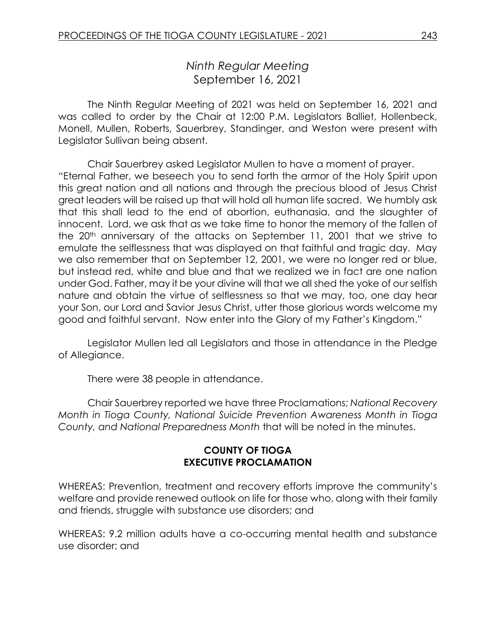# *Ninth Regular Meeting* September 16, 2021

The Ninth Regular Meeting of 2021 was held on September 16, 2021 and was called to order by the Chair at 12:00 P.M. Legislators Balliet, Hollenbeck, Monell, Mullen, Roberts, Sauerbrey, Standinger, and Weston were present with Legislator Sullivan being absent.

Chair Sauerbrey asked Legislator Mullen to have a moment of prayer. "Eternal Father, we beseech you to send forth the armor of the Holy Spirit upon this great nation and all nations and through the precious blood of Jesus Christ great leaders will be raised up that will hold all human life sacred. We humbly ask that this shall lead to the end of abortion, euthanasia, and the slaughter of innocent. Lord, we ask that as we take time to honor the memory of the fallen of the 20<sup>th</sup> anniversary of the attacks on September 11, 2001 that we strive to emulate the selflessness that was displayed on that faithful and tragic day. May we also remember that on September 12, 2001, we were no longer red or blue, but instead red, white and blue and that we realized we in fact are one nation under God. Father, may it be your divine will that we all shed the yoke of our selfish nature and obtain the virtue of selflessness so that we may, too, one day hear your Son, our Lord and Savior Jesus Christ, utter those glorious words welcome my good and faithful servant. Now enter into the Glory of my Father's Kingdom."

Legislator Mullen led all Legislators and those in attendance in the Pledge of Allegiance.

There were 38 people in attendance.

Chair Sauerbrey reported we have three Proclamations; *National Recovery Month in Tioga County, National Suicide Prevention Awareness Month in Tioga County, and National Preparedness Month* that will be noted in the minutes.

### **COUNTY OF TIOGA EXECUTIVE PROCLAMATION**

WHEREAS: Prevention, treatment and recovery efforts improve the community's welfare and provide renewed outlook on life for those who, along with their family and friends, struggle with substance use disorders; and

WHEREAS: 9.2 million adults have a co-occurring mental health and substance use disorder; and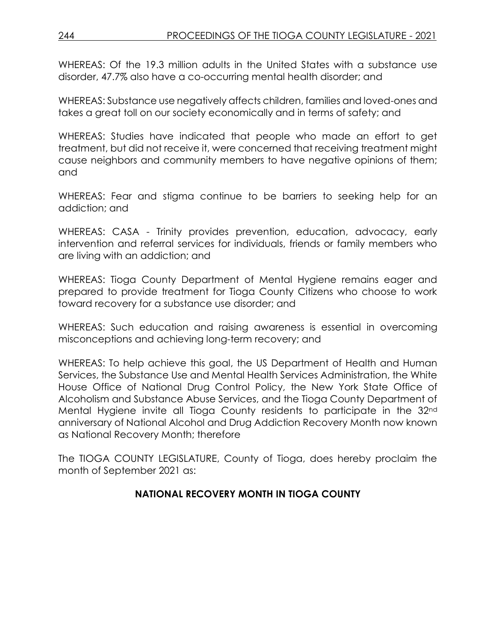WHEREAS: Of the 19.3 million adults in the United States with a substance use disorder, 47.7% also have a co-occurring mental health disorder; and

WHEREAS: Substance use negatively affects children, families and loved-ones and takes a great toll on our society economically and in terms of safety; and

WHEREAS: Studies have indicated that people who made an effort to get treatment, but did not receive it, were concerned that receiving treatment might cause neighbors and community members to have negative opinions of them; and

WHEREAS: Fear and stigma continue to be barriers to seeking help for an addiction; and

WHEREAS: CASA - Trinity provides prevention, education, advocacy, early intervention and referral services for individuals, friends or family members who are living with an addiction; and

WHEREAS: Tioga County Department of Mental Hygiene remains eager and prepared to provide treatment for Tioga County Citizens who choose to work toward recovery for a substance use disorder; and

WHEREAS: Such education and raising awareness is essential in overcoming misconceptions and achieving long-term recovery; and

WHEREAS: To help achieve this goal, the US Department of Health and Human Services, the Substance Use and Mental Health Services Administration, the White House Office of National Drug Control Policy, the New York State Office of Alcoholism and Substance Abuse Services, and the Tioga County Department of Mental Hygiene invite all Tioga County residents to participate in the 32nd anniversary of National Alcohol and Drug Addiction Recovery Month now known as National Recovery Month; therefore

The TIOGA COUNTY LEGISLATURE, County of Tioga, does hereby proclaim the month of September 2021 as:

# **NATIONAL RECOVERY MONTH IN TIOGA COUNTY**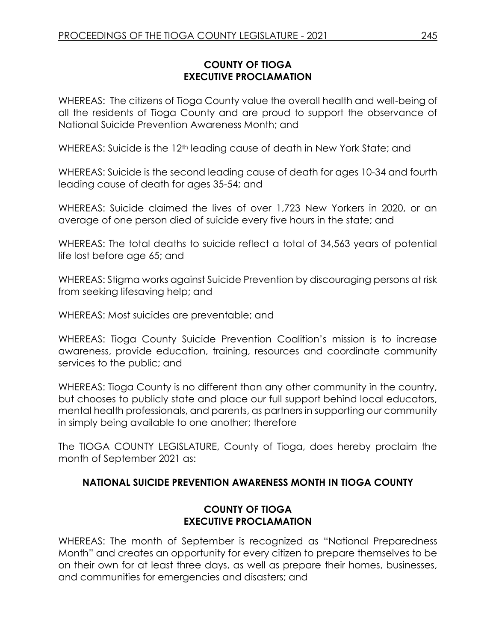## **COUNTY OF TIOGA EXECUTIVE PROCLAMATION**

WHEREAS: The citizens of Tioga County value the overall health and well-being of all the residents of Tioga County and are proud to support the observance of National Suicide Prevention Awareness Month; and

WHEREAS: Suicide is the 12<sup>th</sup> leading cause of death in New York State; and

WHEREAS: Suicide is the second leading cause of death for ages 10-34 and fourth leading cause of death for ages 35-54; and

WHEREAS: Suicide claimed the lives of over 1,723 New Yorkers in 2020, or an average of one person died of suicide every five hours in the state; and

WHEREAS: The total deaths to suicide reflect a total of 34,563 years of potential life lost before age 65; and

WHEREAS: Stigma works against Suicide Prevention by discouraging persons at risk from seeking lifesaving help; and

WHEREAS: Most suicides are preventable; and

WHEREAS: Tioga County Suicide Prevention Coalition's mission is to increase awareness, provide education, training, resources and coordinate community services to the public; and

WHEREAS: Tioga County is no different than any other community in the country, but chooses to publicly state and place our full support behind local educators, mental health professionals, and parents, as partners in supporting our community in simply being available to one another; therefore

The TIOGA COUNTY LEGISLATURE, County of Tioga, does hereby proclaim the month of September 2021 as:

## **NATIONAL SUICIDE PREVENTION AWARENESS MONTH IN TIOGA COUNTY**

## **COUNTY OF TIOGA EXECUTIVE PROCLAMATION**

WHEREAS: The month of September is recognized as "National Preparedness Month" and creates an opportunity for every citizen to prepare themselves to be on their own for at least three days, as well as prepare their homes, businesses, and communities for emergencies and disasters; and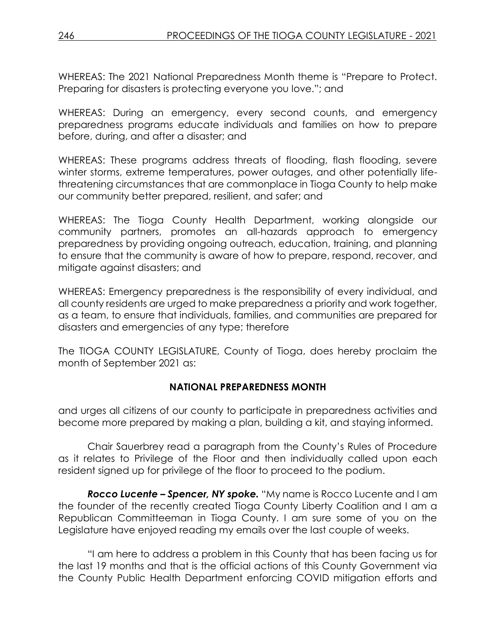WHEREAS: The 2021 National Preparedness Month theme is "Prepare to Protect. Preparing for disasters is protecting everyone you love."; and

WHEREAS: During an emergency, every second counts, and emergency preparedness programs educate individuals and families on how to prepare before, during, and after a disaster; and

WHEREAS: These programs address threats of flooding, flash flooding, severe winter storms, extreme temperatures, power outages, and other potentially lifethreatening circumstances that are commonplace in Tioga County to help make our community better prepared, resilient, and safer; and

WHEREAS: The Tioga County Health Department, working alongside our community partners, promotes an all-hazards approach to emergency preparedness by providing ongoing outreach, education, training, and planning to ensure that the community is aware of how to prepare, respond, recover, and mitigate against disasters; and

WHEREAS: Emergency preparedness is the responsibility of every individual, and all county residents are urged to make preparedness a priority and work together, as a team, to ensure that individuals, families, and communities are prepared for disasters and emergencies of any type; therefore

The TIOGA COUNTY LEGISLATURE, County of Tioga, does hereby proclaim the month of September 2021 as:

## **NATIONAL PREPAREDNESS MONTH**

and urges all citizens of our county to participate in preparedness activities and become more prepared by making a plan, building a kit, and staying informed.

Chair Sauerbrey read a paragraph from the County's Rules of Procedure as it relates to Privilege of the Floor and then individually called upon each resident signed up for privilege of the floor to proceed to the podium.

*Rocco Lucente – Spencer, NY spoke.* "My name is Rocco Lucente and I am the founder of the recently created Tioga County Liberty Coalition and I am a Republican Committeeman in Tioga County. I am sure some of you on the Legislature have enjoyed reading my emails over the last couple of weeks.

"I am here to address a problem in this County that has been facing us for the last 19 months and that is the official actions of this County Government via the County Public Health Department enforcing COVID mitigation efforts and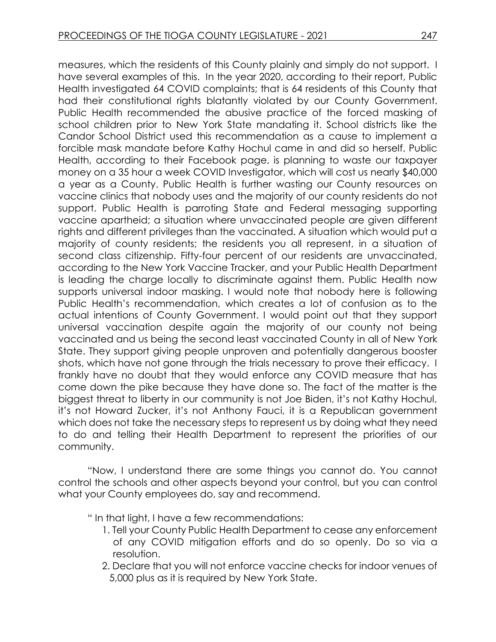measures, which the residents of this County plainly and simply do not support. I have several examples of this. In the year 2020, according to their report, Public Health investigated 64 COVID complaints; that is 64 residents of this County that had their constitutional rights blatantly violated by our County Government. Public Health recommended the abusive practice of the forced masking of school children prior to New York State mandating it. School districts like the Candor School District used this recommendation as a cause to implement a forcible mask mandate before Kathy Hochul came in and did so herself. Public Health, according to their Facebook page, is planning to waste our taxpayer money on a 35 hour a week COVID Investigator, which will cost us nearly \$40,000 a year as a County. Public Health is further wasting our County resources on vaccine clinics that nobody uses and the majority of our county residents do not support. Public Health is parroting State and Federal messaging supporting vaccine apartheid; a situation where unvaccinated people are given different rights and different privileges than the vaccinated. A situation which would put a majority of county residents; the residents you all represent, in a situation of second class citizenship. Fifty-four percent of our residents are unvaccinated, according to the New York Vaccine Tracker, and your Public Health Department is leading the charge locally to discriminate against them. Public Health now supports universal indoor masking. I would note that nobody here is following Public Health's recommendation, which creates a lot of confusion as to the actual intentions of County Government. I would point out that they support universal vaccination despite again the majority of our county not being vaccinated and us being the second least vaccinated County in all of New York State. They support giving people unproven and potentially dangerous booster shots, which have not gone through the trials necessary to prove their efficacy. I frankly have no doubt that they would enforce any COVID measure that has come down the pike because they have done so. The fact of the matter is the biggest threat to liberty in our community is not Joe Biden, it's not Kathy Hochul, it's not Howard Zucker, it's not Anthony Fauci, it is a Republican government which does not take the necessary steps to represent us by doing what they need to do and telling their Health Department to represent the priorities of our community.

"Now, I understand there are some things you cannot do. You cannot control the schools and other aspects beyond your control, but you can control what your County employees do, say and recommend.

" In that light, I have a few recommendations:

- 1. Tell your County Public Health Department to cease any enforcement of any COVID mitigation efforts and do so openly. Do so via a resolution.
- 2. Declare that you will not enforce vaccine checks for indoor venues of 5,000 plus as it is required by New York State.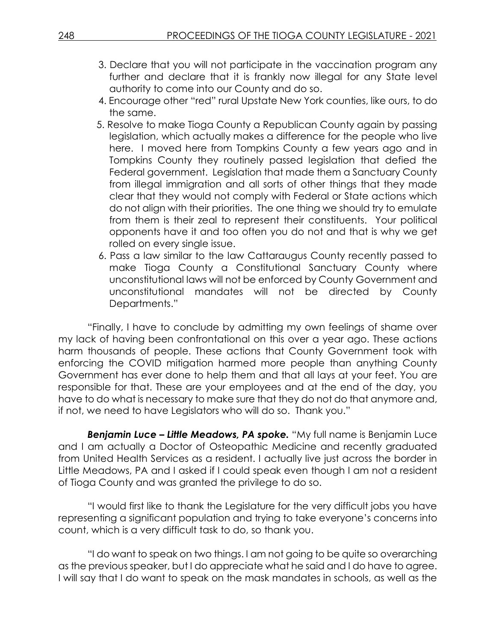- 3. Declare that you will not participate in the vaccination program any further and declare that it is frankly now illegal for any State level authority to come into our County and do so.
- 4. Encourage other "red" rural Upstate New York counties, like ours, to do the same.
- 5. Resolve to make Tioga County a Republican County again by passing legislation, which actually makes a difference for the people who live here. I moved here from Tompkins County a few years ago and in Tompkins County they routinely passed legislation that defied the Federal government. Legislation that made them a Sanctuary County from illegal immigration and all sorts of other things that they made clear that they would not comply with Federal or State actions which do not align with their priorities. The one thing we should try to emulate from them is their zeal to represent their constituents. Your political opponents have it and too often you do not and that is why we get rolled on every single issue.
- 6. Pass a law similar to the law Cattaraugus County recently passed to make Tioga County a Constitutional Sanctuary County where unconstitutional laws will not be enforced by County Government and unconstitutional mandates will not be directed by County Departments."

"Finally, I have to conclude by admitting my own feelings of shame over my lack of having been confrontational on this over a year ago. These actions harm thousands of people. These actions that County Government took with enforcing the COVID mitigation harmed more people than anything County Government has ever done to help them and that all lays at your feet. You are responsible for that. These are your employees and at the end of the day, you have to do what is necessary to make sure that they do not do that anymore and, if not, we need to have Legislators who will do so. Thank you."

*Benjamin Luce – Little Meadows, PA spoke.* "My full name is Benjamin Luce and I am actually a Doctor of Osteopathic Medicine and recently graduated from United Health Services as a resident. I actually live just across the border in Little Meadows, PA and I asked if I could speak even though I am not a resident of Tioga County and was granted the privilege to do so.

"I would first like to thank the Legislature for the very difficult jobs you have representing a significant population and trying to take everyone's concerns into count, which is a very difficult task to do, so thank you.

"I do want to speak on two things. I am not going to be quite so overarching as the previous speaker, but I do appreciate what he said and I do have to agree. I will say that I do want to speak on the mask mandates in schools, as well as the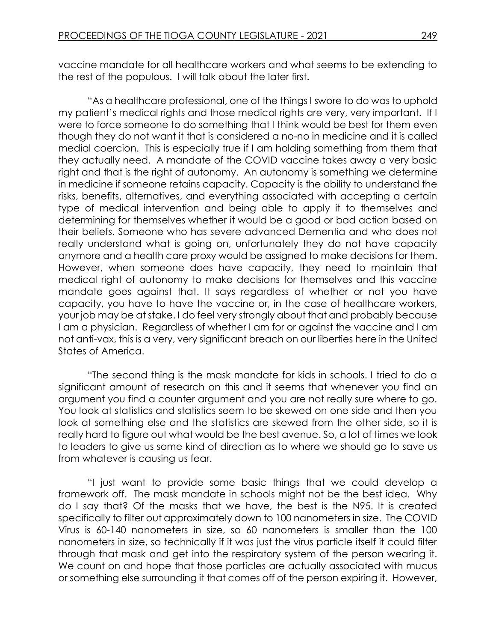vaccine mandate for all healthcare workers and what seems to be extending to the rest of the populous. I will talk about the later first.

"As a healthcare professional, one of the things I swore to do was to uphold my patient's medical rights and those medical rights are very, very important. If I were to force someone to do something that I think would be best for them even though they do not want it that is considered a no-no in medicine and it is called medial coercion. This is especially true if I am holding something from them that they actually need. A mandate of the COVID vaccine takes away a very basic right and that is the right of autonomy. An autonomy is something we determine in medicine if someone retains capacity. Capacity is the ability to understand the risks, benefits, alternatives, and everything associated with accepting a certain type of medical intervention and being able to apply it to themselves and determining for themselves whether it would be a good or bad action based on their beliefs. Someone who has severe advanced Dementia and who does not really understand what is going on, unfortunately they do not have capacity anymore and a health care proxy would be assigned to make decisions for them. However, when someone does have capacity, they need to maintain that medical right of autonomy to make decisions for themselves and this vaccine mandate goes against that. It says regardless of whether or not you have capacity, you have to have the vaccine or, in the case of healthcare workers, your job may be at stake. I do feel very strongly about that and probably because I am a physician. Regardless of whether I am for or against the vaccine and I am not anti-vax, this is a very, very significant breach on our liberties here in the United States of America.

"The second thing is the mask mandate for kids in schools. I tried to do a significant amount of research on this and it seems that whenever you find an argument you find a counter argument and you are not really sure where to go. You look at statistics and statistics seem to be skewed on one side and then you look at something else and the statistics are skewed from the other side, so it is really hard to figure out what would be the best avenue. So, a lot of times we look to leaders to give us some kind of direction as to where we should go to save us from whatever is causing us fear.

"I just want to provide some basic things that we could develop a framework off. The mask mandate in schools might not be the best idea. Why do I say that? Of the masks that we have, the best is the N95. It is created specifically to filter out approximately down to 100 nanometers in size. The COVID Virus is 60-140 nanometers in size, so 60 nanometers is smaller than the 100 nanometers in size, so technically if it was just the virus particle itself it could filter through that mask and get into the respiratory system of the person wearing it. We count on and hope that those particles are actually associated with mucus or something else surrounding it that comes off of the person expiring it. However,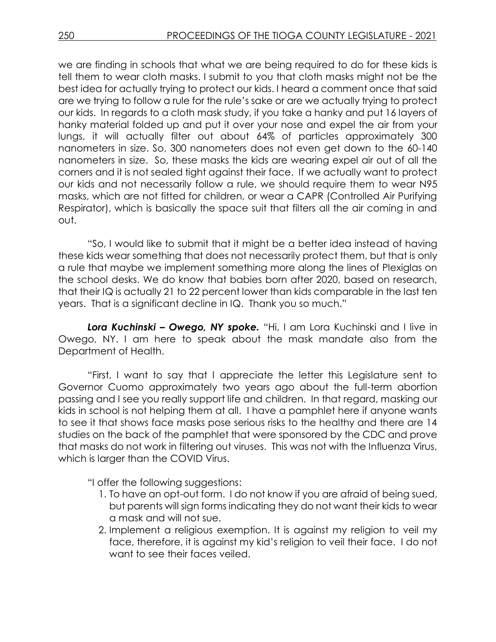we are finding in schools that what we are being required to do for these kids is tell them to wear cloth masks. I submit to you that cloth masks might not be the best idea for actually trying to protect our kids. I heard a comment once that said are we trying to follow a rule for the rule's sake or are we actually trying to protect our kids. In regards to a cloth mask study, if you take a hanky and put 16 layers of hanky material folded up and put it over your nose and expel the air from your lungs, it will actually filter out about 64% of particles approximately 300 nanometers in size. So, 300 nanometers does not even get down to the 60-140 nanometers in size. So, these masks the kids are wearing expel air out of all the corners and it is not sealed tight against their face. If we actually want to protect our kids and not necessarily follow a rule, we should require them to wear N95 masks, which are not fitted for children, or wear a CAPR (Controlled Air Purifying Respirator), which is basically the space suit that filters all the air coming in and out.

"So, I would like to submit that it might be a better idea instead of having these kids wear something that does not necessarily protect them, but that is only a rule that maybe we implement something more along the lines of Plexiglas on the school desks. We do know that babies born after 2020, based on research, that their IQ is actually 21 to 22 percent lower than kids comparable in the last ten years. That is a significant decline in IQ. Thank you so much."

*Lora Kuchinski – Owego, NY spoke.* "Hi, I am Lora Kuchinski and I live in Owego, NY. I am here to speak about the mask mandate also from the Department of Health.

"First, I want to say that I appreciate the letter this Legislature sent to Governor Cuomo approximately two years ago about the full-term abortion passing and I see you really support life and children. In that regard, masking our kids in school is not helping them at all. I have a pamphlet here if anyone wants to see it that shows face masks pose serious risks to the healthy and there are 14 studies on the back of the pamphlet that were sponsored by the CDC and prove that masks do not work in filtering out viruses. This was not with the Influenza Virus, which is larger than the COVID Virus.

"I offer the following suggestions:

- 1. To have an opt-out form. I do not know if you are afraid of being sued, but parents will sign forms indicating they do not want their kids to wear a mask and will not sue.
- 2. Implement a religious exemption. It is against my religion to veil my face, therefore, it is against my kid's religion to veil their face. I do not want to see their faces veiled.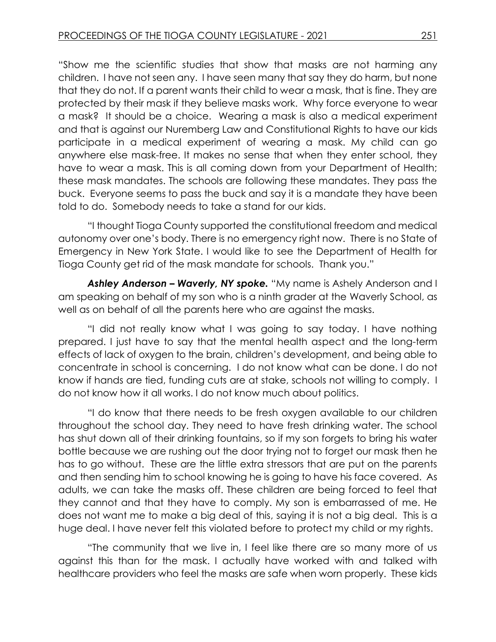"Show me the scientific studies that show that masks are not harming any children. I have not seen any. I have seen many that say they do harm, but none that they do not. If a parent wants their child to wear a mask, that is fine. They are protected by their mask if they believe masks work. Why force everyone to wear a mask? It should be a choice. Wearing a mask is also a medical experiment and that is against our Nuremberg Law and Constitutional Rights to have our kids participate in a medical experiment of wearing a mask. My child can go anywhere else mask-free. It makes no sense that when they enter school, they have to wear a mask. This is all coming down from your Department of Health; these mask mandates. The schools are following these mandates. They pass the buck. Everyone seems to pass the buck and say it is a mandate they have been told to do. Somebody needs to take a stand for our kids.

"I thought Tioga County supported the constitutional freedom and medical autonomy over one's body. There is no emergency right now. There is no State of Emergency in New York State. I would like to see the Department of Health for Tioga County get rid of the mask mandate for schools. Thank you."

**Ashley Anderson – Waverly, NY spoke.** "My name is Ashely Anderson and I am speaking on behalf of my son who is a ninth grader at the Waverly School, as well as on behalf of all the parents here who are against the masks.

"I did not really know what I was going to say today. I have nothing prepared. I just have to say that the mental health aspect and the long-term effects of lack of oxygen to the brain, children's development, and being able to concentrate in school is concerning. I do not know what can be done. I do not know if hands are tied, funding cuts are at stake, schools not willing to comply. I do not know how it all works. I do not know much about politics.

"I do know that there needs to be fresh oxygen available to our children throughout the school day. They need to have fresh drinking water. The school has shut down all of their drinking fountains, so if my son forgets to bring his water bottle because we are rushing out the door trying not to forget our mask then he has to go without. These are the little extra stressors that are put on the parents and then sending him to school knowing he is going to have his face covered. As adults, we can take the masks off. These children are being forced to feel that they cannot and that they have to comply. My son is embarrassed of me. He does not want me to make a big deal of this, saying it is not a big deal. This is a huge deal. I have never felt this violated before to protect my child or my rights.

"The community that we live in, I feel like there are so many more of us against this than for the mask. I actually have worked with and talked with healthcare providers who feel the masks are safe when worn properly. These kids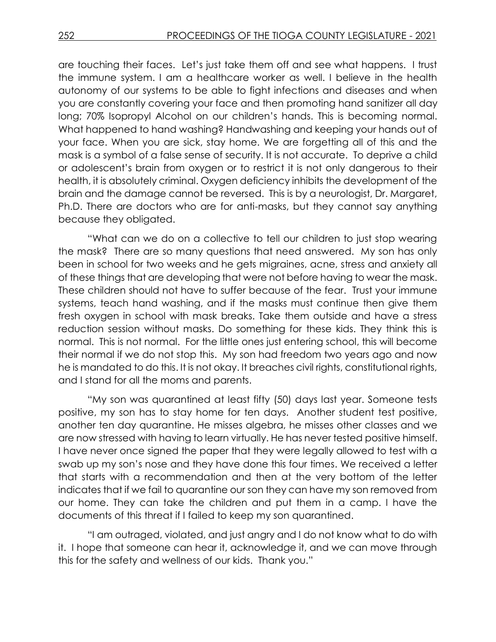are touching their faces. Let's just take them off and see what happens. I trust the immune system. I am a healthcare worker as well. I believe in the health autonomy of our systems to be able to fight infections and diseases and when you are constantly covering your face and then promoting hand sanitizer all day long; 70% Isopropyl Alcohol on our children's hands. This is becoming normal. What happened to hand washing? Handwashing and keeping your hands out of your face. When you are sick, stay home. We are forgetting all of this and the mask is a symbol of a false sense of security. It is not accurate. To deprive a child or adolescent's brain from oxygen or to restrict it is not only dangerous to their health, it is absolutely criminal. Oxygen deficiency inhibits the development of the brain and the damage cannot be reversed. This is by a neurologist, Dr. Margaret, Ph.D. There are doctors who are for anti-masks, but they cannot say anything because they obligated.

"What can we do on a collective to tell our children to just stop wearing the mask? There are so many questions that need answered. My son has only been in school for two weeks and he gets migraines, acne, stress and anxiety all of these things that are developing that were not before having to wear the mask. These children should not have to suffer because of the fear. Trust your immune systems, teach hand washing, and if the masks must continue then give them fresh oxygen in school with mask breaks. Take them outside and have a stress reduction session without masks. Do something for these kids. They think this is normal. This is not normal. For the little ones just entering school, this will become their normal if we do not stop this. My son had freedom two years ago and now he is mandated to do this. It is not okay. It breaches civil rights, constitutional rights, and I stand for all the moms and parents.

"My son was quarantined at least fifty (50) days last year. Someone tests positive, my son has to stay home for ten days. Another student test positive, another ten day quarantine. He misses algebra, he misses other classes and we are now stressed with having to learn virtually. He has never tested positive himself. I have never once signed the paper that they were legally allowed to test with a swab up my son's nose and they have done this four times. We received a letter that starts with a recommendation and then at the very bottom of the letter indicates that if we fail to quarantine our son they can have my son removed from our home. They can take the children and put them in a camp. I have the documents of this threat if I failed to keep my son quarantined.

"I am outraged, violated, and just angry and I do not know what to do with it. I hope that someone can hear it, acknowledge it, and we can move through this for the safety and wellness of our kids. Thank you."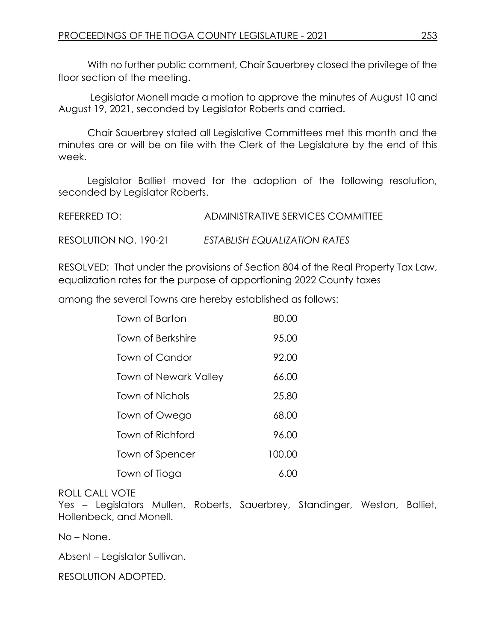With no further public comment, Chair Sauerbrey closed the privilege of the floor section of the meeting.

Legislator Monell made a motion to approve the minutes of August 10 and August 19, 2021, seconded by Legislator Roberts and carried.

Chair Sauerbrey stated all Legislative Committees met this month and the minutes are or will be on file with the Clerk of the Legislature by the end of this week.

Legislator Balliet moved for the adoption of the following resolution, seconded by Legislator Roberts.

| REFERRED TO:          | ADMINISTRATIVE SERVICES COMMITTEE |
|-----------------------|-----------------------------------|
| RESOLUTION NO. 190-21 | ESTABLISH EQUALIZATION RATES      |

RESOLVED: That under the provisions of Section 804 of the Real Property Tax Law, equalization rates for the purpose of apportioning 2022 County taxes

among the several Towns are hereby established as follows:

| Town of Barton               | 80.00  |
|------------------------------|--------|
| Town of Berkshire            | 95.00  |
| Town of Candor               | 92.00  |
| <b>Town of Newark Valley</b> | 66.00  |
| <b>Town of Nichols</b>       | 25.80  |
| Town of Owego                | 68.00  |
| Town of Richford             | 96.00  |
| Town of Spencer              | 100.00 |
| Town of Tioga                | 6.00   |

### ROLL CALL VOTE

Yes – Legislators Mullen, Roberts, Sauerbrey, Standinger, Weston, Balliet, Hollenbeck, and Monell.

No – None.

Absent – Legislator Sullivan.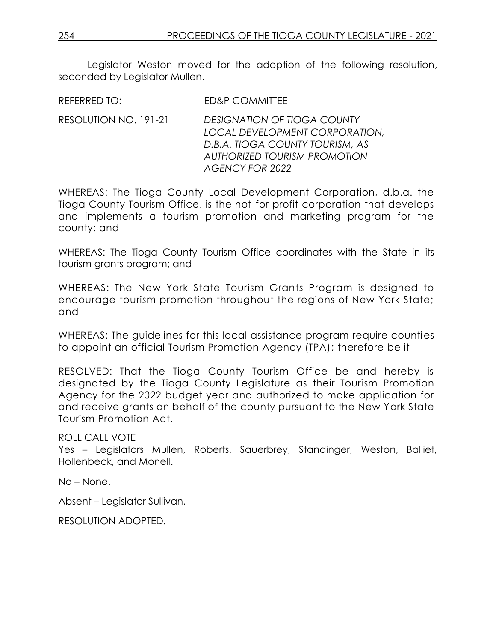Legislator Weston moved for the adoption of the following resolution, seconded by Legislator Mullen.

REFERRED TO: ED&P COMMITTEE

RESOLUTION NO. 191-21 *DESIGNATION OF TIOGA COUNTY LOCAL DEVELOPMENT CORPORATION, D.B.A. TIOGA COUNTY TOURISM, AS AUTHORIZED TOURISM PROMOTION AGENCY FOR 2022*

WHEREAS: The Tioga County Local Development Corporation, d.b.a. the Tioga County Tourism Office, is the not-for-profit corporation that develops and implements a tourism promotion and marketing program for the county; and

WHEREAS: The Tioga County Tourism Office coordinates with the State in its tourism grants program; and

WHEREAS: The New York State Tourism Grants Program is designed to encourage tourism promotion throughout the regions of New York State; and

WHEREAS: The guidelines for this local assistance program require counties to appoint an official Tourism Promotion Agency (TPA); therefore be it

RESOLVED: That the Tioga County Tourism Office be and hereby is designated by the Tioga County Legislature as their Tourism Promotion Agency for the 2022 budget year and authorized to make application for and receive grants on behalf of the county pursuant to the New York State Tourism Promotion Act.

ROLL CALL VOTE Yes – Legislators Mullen, Roberts, Sauerbrey, Standinger, Weston, Balliet, Hollenbeck, and Monell.

No – None.

Absent – Legislator Sullivan.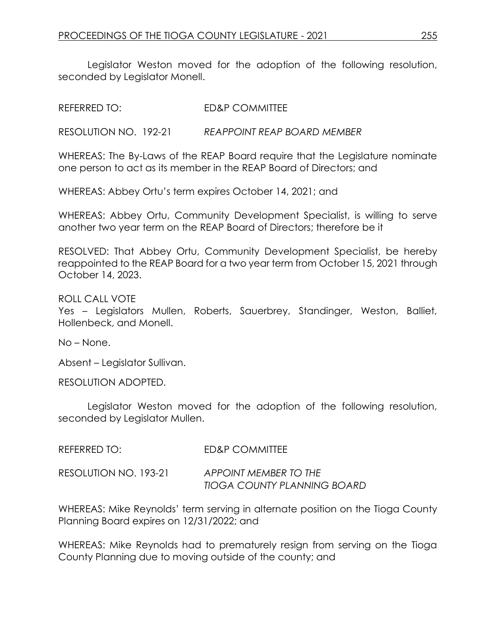Legislator Weston moved for the adoption of the following resolution, seconded by Legislator Monell.

REFERRED TO: ED&P COMMITTEE

RESOLUTION NO. 192-21 *REAPPOINT REAP BOARD MEMBER*

WHEREAS: The By-Laws of the REAP Board require that the Legislature nominate one person to act as its member in the REAP Board of Directors; and

WHEREAS: Abbey Ortu's term expires October 14, 2021; and

WHEREAS: Abbey Ortu, Community Development Specialist, is willing to serve another two year term on the REAP Board of Directors; therefore be it

RESOLVED: That Abbey Ortu, Community Development Specialist, be hereby reappointed to the REAP Board for a two year term from October 15, 2021 through October 14, 2023.

ROLL CALL VOTE

Yes – Legislators Mullen, Roberts, Sauerbrey, Standinger, Weston, Balliet, Hollenbeck, and Monell.

No – None.

Absent – Legislator Sullivan.

RESOLUTION ADOPTED.

Legislator Weston moved for the adoption of the following resolution, seconded by Legislator Mullen.

| REFERRED TO: I        | ED&P COMMITTEE                                              |
|-----------------------|-------------------------------------------------------------|
| RESOLUTION NO. 193-21 | APPOINT MEMBER TO THE<br><b>TIOGA COUNTY PLANNING BOARD</b> |

WHEREAS: Mike Reynolds' term serving in alternate position on the Tioga County Planning Board expires on 12/31/2022; and

WHEREAS: Mike Reynolds had to prematurely resign from serving on the Tioga County Planning due to moving outside of the county; and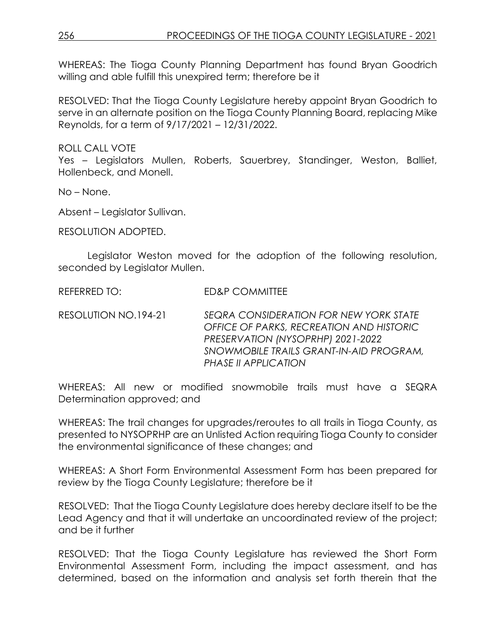WHEREAS: The Tioga County Planning Department has found Bryan Goodrich willing and able fulfill this unexpired term; therefore be it

RESOLVED: That the Tioga County Legislature hereby appoint Bryan Goodrich to serve in an alternate position on the Tioga County Planning Board, replacing Mike Reynolds, for a term of 9/17/2021 – 12/31/2022.

ROLL CALL VOTE

Yes – Legislators Mullen, Roberts, Sauerbrey, Standinger, Weston, Balliet, Hollenbeck, and Monell.

No – None.

Absent – Legislator Sullivan.

RESOLUTION ADOPTED.

Legislator Weston moved for the adoption of the following resolution, seconded by Legislator Mullen.

REFERRED TO: FD&P COMMITTEE

RESOLUTION NO.194-21 *SEQRA CONSIDERATION FOR NEW YORK STATE OFFICE OF PARKS, RECREATION AND HISTORIC PRESERVATION (NYSOPRHP) 2021-2022 SNOWMOBILE TRAILS GRANT-IN-AID PROGRAM, PHASE II APPLICATION*

WHEREAS: All new or modified snowmobile trails must have a SEQRA Determination approved; and

WHEREAS: The trail changes for upgrades/reroutes to all trails in Tioga County, as presented to NYSOPRHP are an Unlisted Action requiring Tioga County to consider the environmental significance of these changes; and

WHEREAS: A Short Form Environmental Assessment Form has been prepared for review by the Tioga County Legislature; therefore be it

RESOLVED: That the Tioga County Legislature does hereby declare itself to be the Lead Agency and that it will undertake an uncoordinated review of the project; and be it further

RESOLVED: That the Tioga County Legislature has reviewed the Short Form Environmental Assessment Form, including the impact assessment, and has determined, based on the information and analysis set forth therein that the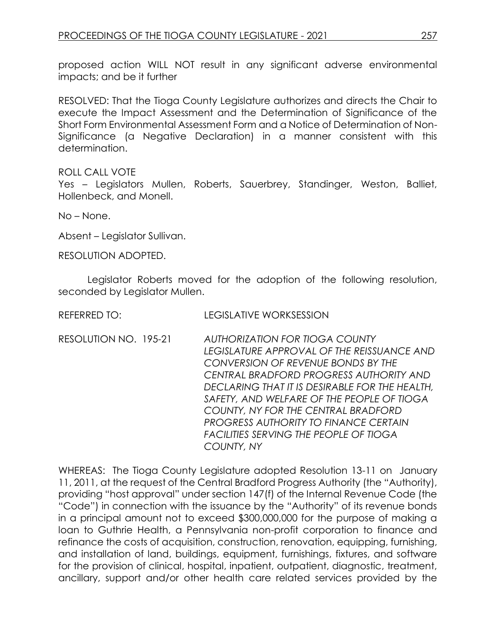proposed action WILL NOT result in any significant adverse environmental impacts; and be it further

RESOLVED: That the Tioga County Legislature authorizes and directs the Chair to execute the Impact Assessment and the Determination of Significance of the Short Form Environmental Assessment Form and a Notice of Determination of Non-Significance (a Negative Declaration) in a manner consistent with this determination.

ROLL CALL VOTE

Yes – Legislators Mullen, Roberts, Sauerbrey, Standinger, Weston, Balliet, Hollenbeck, and Monell.

No – None.

Absent – Legislator Sullivan.

RESOLUTION ADOPTED.

Legislator Roberts moved for the adoption of the following resolution, seconded by Legislator Mullen.

REFERRED TO: LEGISLATIVE WORKSESSION

RESOLUTION NO. 195-21 *AUTHORIZATION FOR TIOGA COUNTY LEGISLATURE APPROVAL OF THE REISSUANCE AND CONVERSION OF REVENUE BONDS BY THE CENTRAL BRADFORD PROGRESS AUTHORITY AND DECLARING THAT IT IS DESIRABLE FOR THE HEALTH, SAFETY, AND WELFARE OF THE PEOPLE OF TIOGA COUNTY, NY FOR THE CENTRAL BRADFORD PROGRESS AUTHORITY TO FINANCE CERTAIN FACILITIES SERVING THE PEOPLE OF TIOGA COUNTY, NY*

WHEREAS: The Tioga County Legislature adopted Resolution 13-11 on January 11, 2011, at the request of the Central Bradford Progress Authority (the "Authority), providing "host approval" under section 147(f) of the Internal Revenue Code (the "Code") in connection with the issuance by the "Authority" of its revenue bonds in a principal amount not to exceed \$300,000,000 for the purpose of making a loan to Guthrie Health, a Pennsylvania non-profit corporation to finance and refinance the costs of acquisition, construction, renovation, equipping, furnishing, and installation of land, buildings, equipment, furnishings, fixtures, and software for the provision of clinical, hospital, inpatient, outpatient, diagnostic, treatment, ancillary, support and/or other health care related services provided by the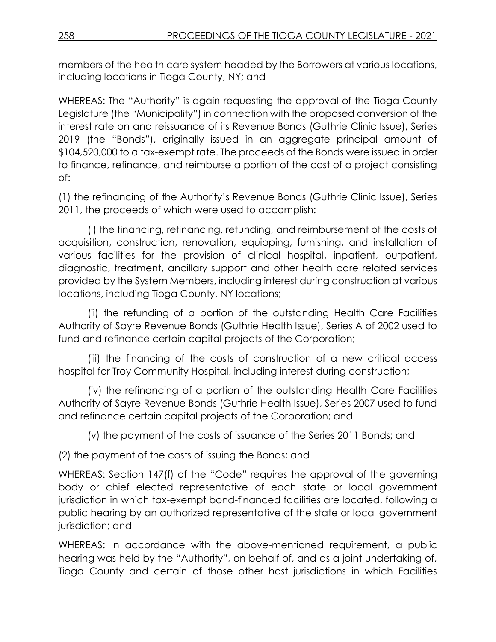members of the health care system headed by the Borrowers at various locations, including locations in Tioga County, NY; and

WHEREAS: The "Authority" is again requesting the approval of the Tioga County Legislature (the "Municipality") in connection with the proposed conversion of the interest rate on and reissuance of its Revenue Bonds (Guthrie Clinic Issue), Series 2019 (the "Bonds"), originally issued in an aggregate principal amount of \$104,520,000 to a tax-exempt rate. The proceeds of the Bonds were issued in order to finance, refinance, and reimburse a portion of the cost of a project consisting of:

(1) the refinancing of the Authority's Revenue Bonds (Guthrie Clinic Issue), Series 2011, the proceeds of which were used to accomplish:

(i) the financing, refinancing, refunding, and reimbursement of the costs of acquisition, construction, renovation, equipping, furnishing, and installation of various facilities for the provision of clinical hospital, inpatient, outpatient, diagnostic, treatment, ancillary support and other health care related services provided by the System Members, including interest during construction at various locations, including Tioga County, NY locations;

(ii) the refunding of a portion of the outstanding Health Care Facilities Authority of Sayre Revenue Bonds (Guthrie Health Issue), Series A of 2002 used to fund and refinance certain capital projects of the Corporation;

(iii) the financing of the costs of construction of a new critical access hospital for Troy Community Hospital, including interest during construction;

(iv) the refinancing of a portion of the outstanding Health Care Facilities Authority of Sayre Revenue Bonds (Guthrie Health Issue), Series 2007 used to fund and refinance certain capital projects of the Corporation; and

(v) the payment of the costs of issuance of the Series 2011 Bonds; and

(2) the payment of the costs of issuing the Bonds; and

WHEREAS: Section 147(f) of the "Code" requires the approval of the governing body or chief elected representative of each state or local government jurisdiction in which tax-exempt bond-financed facilities are located, following a public hearing by an authorized representative of the state or local government jurisdiction; and

WHEREAS: In accordance with the above-mentioned requirement, a public hearing was held by the "Authority", on behalf of, and as a joint undertaking of, Tioga County and certain of those other host jurisdictions in which Facilities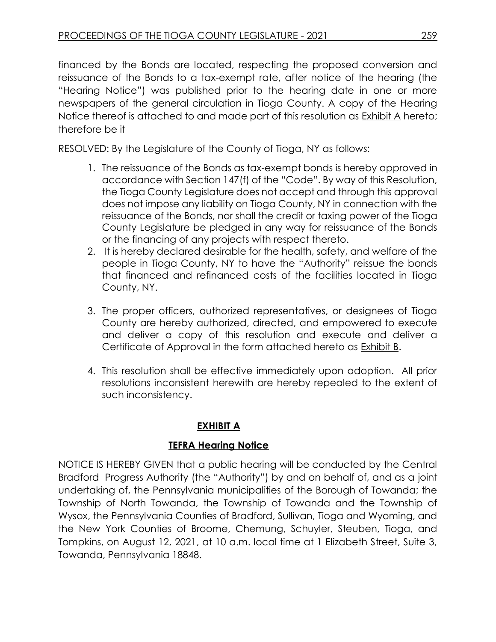financed by the Bonds are located, respecting the proposed conversion and reissuance of the Bonds to a tax-exempt rate, after notice of the hearing (the "Hearing Notice") was published prior to the hearing date in one or more newspapers of the general circulation in Tioga County. A copy of the Hearing Notice thereof is attached to and made part of this resolution as Exhibit A hereto; therefore be it

RESOLVED: By the Legislature of the County of Tioga, NY as follows:

- 1. The reissuance of the Bonds as tax-exempt bonds is hereby approved in accordance with Section 147(f) of the "Code". By way of this Resolution, the Tioga County Legislature does not accept and through this approval does not impose any liability on Tioga County, NY in connection with the reissuance of the Bonds, nor shall the credit or taxing power of the Tioga County Legislature be pledged in any way for reissuance of the Bonds or the financing of any projects with respect thereto.
- 2. It is hereby declared desirable for the health, safety, and welfare of the people in Tioga County, NY to have the "Authority" reissue the bonds that financed and refinanced costs of the facilities located in Tioga County, NY.
- 3. The proper officers, authorized representatives, or designees of Tioga County are hereby authorized, directed, and empowered to execute and deliver a copy of this resolution and execute and deliver a Certificate of Approval in the form attached hereto as Exhibit B.
- 4. This resolution shall be effective immediately upon adoption. All prior resolutions inconsistent herewith are hereby repealed to the extent of such inconsistency.

# **EXHIBIT A**

# **TEFRA Hearing Notice**

NOTICE IS HEREBY GIVEN that a public hearing will be conducted by the Central Bradford Progress Authority (the "Authority") by and on behalf of, and as a joint undertaking of, the Pennsylvania municipalities of the Borough of Towanda; the Township of North Towanda, the Township of Towanda and the Township of Wysox, the Pennsylvania Counties of Bradford, Sullivan, Tioga and Wyoming, and the New York Counties of Broome, Chemung, Schuyler, Steuben, Tioga, and Tompkins, on August 12, 2021, at 10 a.m. local time at 1 Elizabeth Street, Suite 3, Towanda, Pennsylvania 18848.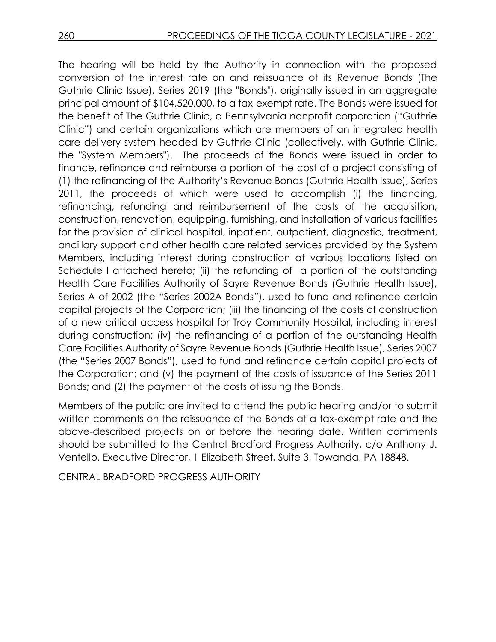The hearing will be held by the Authority in connection with the proposed conversion of the interest rate on and reissuance of its Revenue Bonds (The Guthrie Clinic Issue), Series 2019 (the "Bonds"), originally issued in an aggregate principal amount of \$104,520,000, to a tax-exempt rate. The Bonds were issued for the benefit of The Guthrie Clinic, a Pennsylvania nonprofit corporation ("Guthrie Clinic") and certain organizations which are members of an integrated health care delivery system headed by Guthrie Clinic (collectively, with Guthrie Clinic, the "System Members"). The proceeds of the Bonds were issued in order to finance, refinance and reimburse a portion of the cost of a project consisting of (1) the refinancing of the Authority's Revenue Bonds (Guthrie Health Issue), Series 2011, the proceeds of which were used to accomplish (i) the financing, refinancing, refunding and reimbursement of the costs of the acquisition, construction, renovation, equipping, furnishing, and installation of various facilities for the provision of clinical hospital, inpatient, outpatient, diagnostic, treatment, ancillary support and other health care related services provided by the System Members, including interest during construction at various locations listed on Schedule I attached hereto; (ii) the refunding of a portion of the outstanding Health Care Facilities Authority of Sayre Revenue Bonds (Guthrie Health Issue), Series A of 2002 (the "Series 2002A Bonds*"*), used to fund and refinance certain capital projects of the Corporation; (iii) the financing of the costs of construction of a new critical access hospital for Troy Community Hospital, including interest during construction; (iv) the refinancing of a portion of the outstanding Health Care Facilities Authority of Sayre Revenue Bonds (Guthrie Health Issue), Series 2007 (the "Series 2007 Bonds"), used to fund and refinance certain capital projects of the Corporation; and (v) the payment of the costs of issuance of the Series 2011 Bonds; and (2) the payment of the costs of issuing the Bonds.

Members of the public are invited to attend the public hearing and/or to submit written comments on the reissuance of the Bonds at a tax-exempt rate and the above-described projects on or before the hearing date. Written comments should be submitted to the Central Bradford Progress Authority, c/o Anthony J. Ventello, Executive Director, 1 Elizabeth Street, Suite 3, Towanda, PA 18848.

CENTRAL BRADFORD PROGRESS AUTHORITY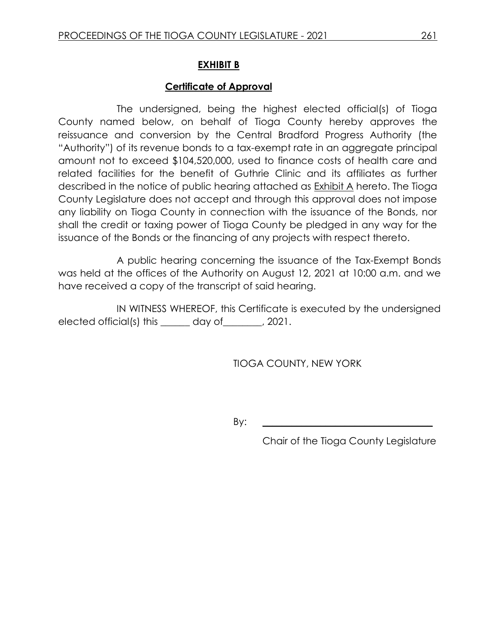# **EXHIBIT B**

## **Certificate of Approval**

The undersigned, being the highest elected official(s) of Tioga County named below, on behalf of Tioga County hereby approves the reissuance and conversion by the Central Bradford Progress Authority (the "Authority") of its revenue bonds to a tax-exempt rate in an aggregate principal amount not to exceed \$104,520,000, used to finance costs of health care and related facilities for the benefit of Guthrie Clinic and its affiliates as further described in the notice of public hearing attached as Exhibit A hereto. The Tioga County Legislature does not accept and through this approval does not impose any liability on Tioga County in connection with the issuance of the Bonds, nor shall the credit or taxing power of Tioga County be pledged in any way for the issuance of the Bonds or the financing of any projects with respect thereto.

A public hearing concerning the issuance of the Tax-Exempt Bonds was held at the offices of the Authority on August 12, 2021 at 10:00 a.m. and we have received a copy of the transcript of said hearing.

IN WITNESS WHEREOF, this Certificate is executed by the undersigned elected official(s) this day of (2021.

TIOGA COUNTY, NEW YORK

By: **\_\_\_\_\_\_\_\_\_\_\_\_\_\_\_\_\_\_\_\_\_\_\_\_\_\_\_\_\_\_\_\_\_\_\_**

Chair of the Tioga County Legislature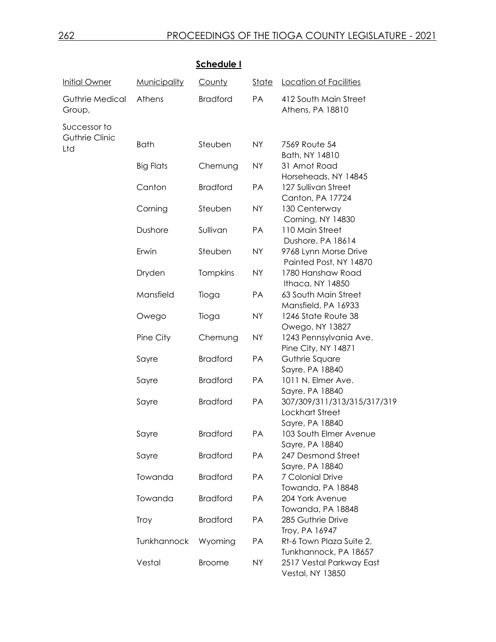|                                  |                     | <b>Schedule I</b> |              |                                                              |
|----------------------------------|---------------------|-------------------|--------------|--------------------------------------------------------------|
| <b>Initial Owner</b>             | <b>Municipality</b> | County            | <u>State</u> | Location of Facilities                                       |
| <b>Guthrie Medical</b><br>Group, | Athens              | <b>Bradford</b>   | PA           | 412 South Main Street<br>Athens, PA 18810                    |
| Successor to                     |                     |                   |              |                                                              |
| <b>Guthrie Clinic</b><br>Ltd     | <b>Bath</b>         | Steuben           | <b>NY</b>    | 7569 Route 54<br>Bath, NY 14810                              |
|                                  | <b>Big Flats</b>    | Chemung           | <b>NY</b>    | 31 Arnot Road<br>Horseheads, NY 14845                        |
|                                  | Canton              | <b>Bradford</b>   | PA           | 127 Sullivan Street<br>Canton, PA 17724                      |
|                                  | Corning             | Steuben           | <b>NY</b>    | 130 Centerway<br>Corning, NY 14830                           |
|                                  | Dushore             | Sullivan          | PA           | 110 Main Street<br>Dushore, PA 18614                         |
|                                  | Erwin               | Steuben           | <b>NY</b>    | 9768 Lynn Morse Drive<br>Painted Post, NY 14870              |
|                                  | Dryden              | Tompkins          | <b>NY</b>    | 1780 Hanshaw Road<br>Ithaca, NY 14850                        |
|                                  | Mansfield           | Tioga             | PA           | 63 South Main Street<br>Mansfield, PA 16933                  |
|                                  | Owego               | Tioga             | <b>NY</b>    | 1246 State Route 38<br>Owego, NY 13827                       |
|                                  | Pine City           | Chemung           | <b>NY</b>    | 1243 Pennsylvania Ave.<br>Pine City, NY 14871                |
|                                  | Sayre               | <b>Bradford</b>   | PA           | Guthrie Square<br>Sayre, PA 18840                            |
|                                  | Sayre               | <b>Bradford</b>   | PA           | 1011 N. Elmer Ave.<br>Sayre, PA 18840                        |
|                                  | Sayre               | <b>Bradford</b>   | PA           | 307/309/311/313/315/317/319<br><b>Lockhart Street</b>        |
|                                  | Sayre               | <b>Bradford</b>   | <b>PA</b>    | Sayre, PA 18840<br>103 South Elmer Avenue<br>Sayre, PA 18840 |
|                                  | Sayre               | <b>Bradford</b>   | PA           | 247 Desmond Street<br>Sayre, PA 18840                        |
|                                  | Towanda             | <b>Bradford</b>   | PA           | 7 Colonial Drive<br>Towanda, PA 18848                        |
|                                  | Towanda             | <b>Bradford</b>   | <b>PA</b>    | 204 York Avenue<br>Towanda, PA 18848                         |
|                                  | Troy                | <b>Bradford</b>   | <b>PA</b>    | 285 Guthrie Drive<br>Troy, PA 16947                          |
|                                  | Tunkhannock         | Wyoming           | PA           | Rt-6 Town Plaza Suite 2,<br>Tunkhannock, PA 18657            |
|                                  | Vestal              | <b>Broome</b>     | <b>NY</b>    | 2517 Vestal Parkway East<br><b>Vestal, NY 13850</b>          |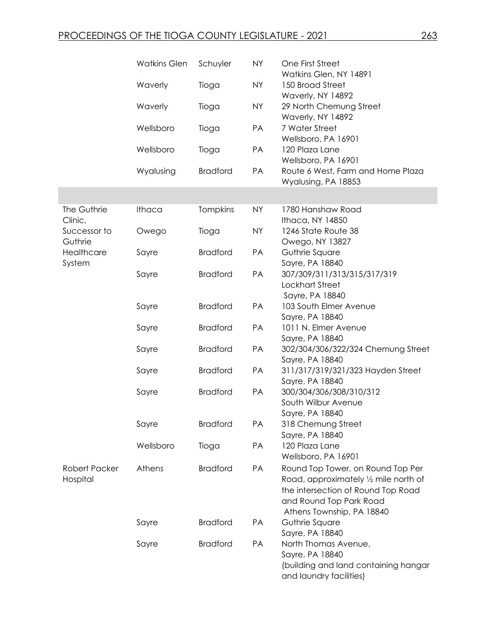|                         | <b>Watkins Glen</b> | Schuyler        | <b>NY</b> | One First Street<br>Watkins Glen, NY 14891                                                                                          |
|-------------------------|---------------------|-----------------|-----------|-------------------------------------------------------------------------------------------------------------------------------------|
|                         | Waverly             | Tioga           | <b>NY</b> | 150 Broad Street<br>Waverly, NY 14892                                                                                               |
|                         | Waverly             | Tioga           | <b>NY</b> | 29 North Chemung Street<br>Waverly, NY 14892                                                                                        |
|                         | Wellsboro           | Tioga           | PA        | 7 Water Street<br>Wellsboro, PA 16901                                                                                               |
|                         | Wellsboro           | Tioga           | PA        | 120 Plaza Lane<br>Wellsboro, PA 16901                                                                                               |
|                         | Wyalusing           | <b>Bradford</b> | PA        | Route 6 West, Farm and Home Plaza<br>Wyalusing, PA 18853                                                                            |
|                         |                     |                 |           |                                                                                                                                     |
| The Guthrie<br>Clinic,  | Ithaca              | Tompkins        | <b>NY</b> | 1780 Hanshaw Road<br>Ithaca, NY 14850                                                                                               |
| Successor to<br>Guthrie | Owego               | Tioga           | <b>NY</b> | 1246 State Route 38<br>Owego, NY 13827                                                                                              |
| Healthcare<br>System    | Sayre               | <b>Bradford</b> | PA        | Guthrie Square<br>Sayre, PA 18840                                                                                                   |
|                         | Sayre               | <b>Bradford</b> | PA        | 307/309/311/313/315/317/319<br>Lockhart Street<br>Sayre, PA 18840                                                                   |
|                         | Sayre               | <b>Bradford</b> | PA        | 103 South Elmer Avenue<br>Sayre, PA 18840                                                                                           |
|                         | Sayre               | <b>Bradford</b> | PA        | 1011 N. Elmer Avenue<br>Sayre, PA 18840                                                                                             |
|                         | Sayre               | <b>Bradford</b> | PA        | 302/304/306/322/324 Chemung Street<br>Sayre, PA 18840                                                                               |
|                         | Sayre               | <b>Bradford</b> | PA        | 311/317/319/321/323 Hayden Street<br>Sayre, PA 18840                                                                                |
|                         | Sayre               | <b>Bradford</b> | PA        | 300/304/306/308/310/312<br>South Wilbur Avenue                                                                                      |
|                         | Sayre               | <b>Bradford</b> | PA        | Sayre, PA 18840<br>318 Chemung Street                                                                                               |
|                         | Wellsboro           | Tioga           | PA        | Sayre, PA 18840<br>120 Plaza Lane                                                                                                   |
| Robert Packer           | Athens              | <b>Bradford</b> | PA        | Wellsboro, PA 16901<br>Round Top Tower, on Round Top Per                                                                            |
| Hospital                |                     |                 |           | Road, approximately 1/2 mile north of<br>the intersection of Round Top Road<br>and Round Top Park Road<br>Athens Township, PA 18840 |
|                         | Sayre               | <b>Bradford</b> | PA        | Guthrie Square<br>Sayre, PA 18840                                                                                                   |
|                         | Sayre               | <b>Bradford</b> | PA        | North Thomas Avenue,<br>Sayre, PA 18840<br>(building and land containing hangar<br>and laundry facilities)                          |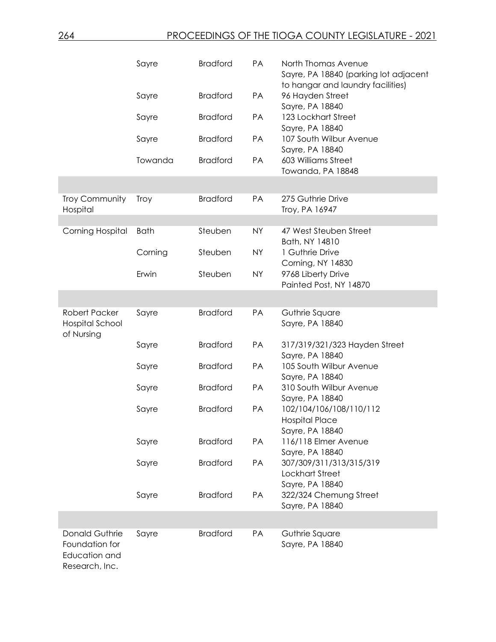|                                                                     | Sayre       | <b>Bradford</b> | PA        | North Thomas Avenue<br>Sayre, PA 18840 (parking lot adjacent<br>to hangar and laundry facilities) |
|---------------------------------------------------------------------|-------------|-----------------|-----------|---------------------------------------------------------------------------------------------------|
|                                                                     | Sayre       | <b>Bradford</b> | PA        | 96 Hayden Street<br>Sayre, PA 18840                                                               |
|                                                                     | Sayre       | <b>Bradford</b> | PA        | 123 Lockhart Street<br>Sayre, PA 18840                                                            |
|                                                                     | Sayre       | <b>Bradford</b> | PA        | 107 South Wilbur Avenue<br>Sayre, PA 18840                                                        |
|                                                                     | Towanda     | <b>Bradford</b> | PA        | 603 Williams Street<br>Towanda, PA 18848                                                          |
|                                                                     |             |                 |           |                                                                                                   |
| Troy Community<br>Hospital                                          | <b>Troy</b> | <b>Bradford</b> | PA        | 275 Guthrie Drive<br>Troy, PA 16947                                                               |
|                                                                     |             |                 |           |                                                                                                   |
| <b>Corning Hospital</b>                                             | <b>Bath</b> | Steuben         | <b>NY</b> | 47 West Steuben Street<br>Bath, NY 14810                                                          |
|                                                                     | Corning     | Steuben         | <b>NY</b> | 1 Guthrie Drive                                                                                   |
|                                                                     | Erwin       | Steuben         | <b>NY</b> | Corning, NY 14830<br>9768 Liberty Drive                                                           |
|                                                                     |             |                 |           | Painted Post, NY 14870                                                                            |
|                                                                     |             |                 |           |                                                                                                   |
| Robert Packer<br><b>Hospital School</b><br>of Nursing               | Sayre       | <b>Bradford</b> | PA        | Guthrie Square<br>Sayre, PA 18840                                                                 |
|                                                                     | Sayre       | <b>Bradford</b> | PA        | 317/319/321/323 Hayden Street<br>Sayre, PA 18840                                                  |
|                                                                     | Sayre       | <b>Bradford</b> | PA        | 105 South Wilbur Avenue<br>Sayre, PA 18840                                                        |
|                                                                     | Sayre       | <b>Bradford</b> | PA        | 310 South Wilbur Avenue<br>Sayre, PA 18840                                                        |
|                                                                     | Sayre       | <b>Bradford</b> | PA        | 102/104/106/108/110/112<br><b>Hospital Place</b><br>Sayre, PA 18840                               |
|                                                                     | Sayre       | <b>Bradford</b> | PA        | 116/118 Elmer Avenue<br>Sayre, PA 18840                                                           |
|                                                                     | Sayre       | <b>Bradford</b> | PA        | 307/309/311/313/315/319<br><b>Lockhart Street</b><br>Sayre, PA 18840                              |
|                                                                     | Sayre       | <b>Bradford</b> | PA        | 322/324 Chemung Street<br>Sayre, PA 18840                                                         |
|                                                                     |             |                 |           |                                                                                                   |
| Donald Guthrie<br>Foundation for<br>Education and<br>Research, Inc. | Sayre       | <b>Bradford</b> | PA        | Guthrie Square<br>Sayre, PA 18840                                                                 |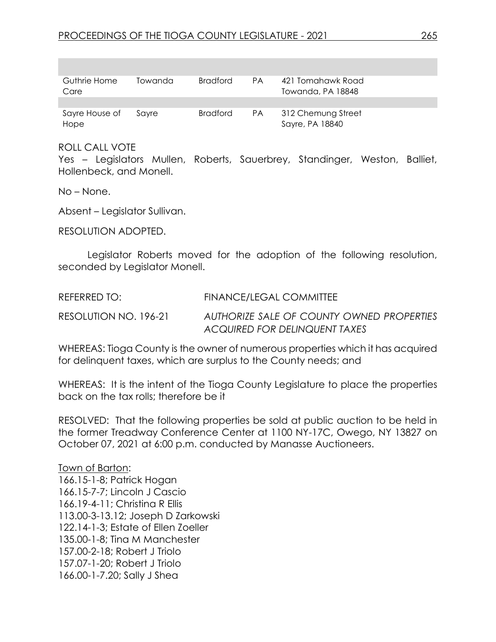| Guthrie Home   | Towanda | Bradford        | <b>PA</b> | 421 Tomahawk Road  |
|----------------|---------|-----------------|-----------|--------------------|
| Care           |         |                 |           | Towanda, PA 18848  |
|                |         |                 |           |                    |
| Sayre House of | Savre   | <b>Bradford</b> | PA.       | 312 Chemung Street |
| Hope           |         |                 |           | Sayre, PA 18840    |

#### ROLL CALL VOTE

Yes – Legislators Mullen, Roberts, Sauerbrey, Standinger, Weston, Balliet, Hollenbeck, and Monell.

No – None.

Absent – Legislator Sullivan.

RESOLUTION ADOPTED.

Legislator Roberts moved for the adoption of the following resolution, seconded by Legislator Monell.

REFERRED TO: FINANCE/LEGAL COMMITTEE RESOLUTION NO. 196-21 *AUTHORIZE SALE OF COUNTY OWNED PROPERTIES ACQUIRED FOR DELINQUENT TAXES*

WHEREAS: Tioga County is the owner of numerous properties which it has acquired for delinquent taxes, which are surplus to the County needs; and

WHEREAS: It is the intent of the Tioga County Legislature to place the properties back on the tax rolls; therefore be it

RESOLVED: That the following properties be sold at public auction to be held in the former Treadway Conference Center at 1100 NY-17C, Owego, NY 13827 on October 07, 2021 at 6:00 p.m. conducted by Manasse Auctioneers.

Town of Barton: 166.15-1-8; Patrick Hogan 166.15-7-7; Lincoln J Cascio 166.19-4-11; Christina R Ellis 113.00-3-13.12; Joseph D Zarkowski 122.14-1-3; Estate of Ellen Zoeller 135.00-1-8; Tina M Manchester 157.00-2-18; Robert J Triolo 157.07-1-20; Robert J Triolo 166.00-1-7.20; Sally J Shea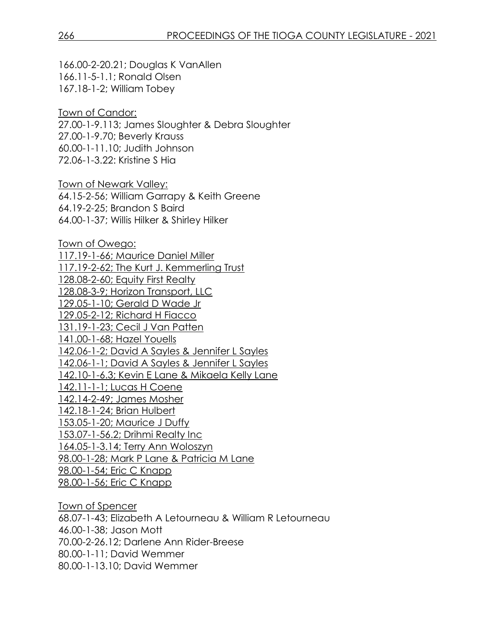166.00-2-20.21; Douglas K VanAllen 166.11-5-1.1; Ronald Olsen 167.18-1-2; William Tobey

Town of Candor: 27.00-1-9.113; James Sloughter & Debra Sloughter 27.00-1-9.70; Beverly Krauss 60.00-1-11.10; Judith Johnson 72.06-1-3.22: Kristine S Hia

Town of Newark Valley: 64.15-2-56; William Garrapy & Keith Greene 64.19-2-25; Brandon S Baird 64.00-1-37; Willis Hilker & Shirley Hilker

Town of Owego: 117.19-1-66; Maurice Daniel Miller 117.19-2-62; The Kurt J. Kemmerling Trust 128.08-2-60; Equity First Realty 128.08-3-9; Horizon Transport, LLC 129.05-1-10; Gerald D Wade Jr 129.05-2-12; Richard H Fiacco 131.19-1-23; Cecil J Van Patten 141.00-1-68; Hazel Youells 142.06-1-2; David A Sayles & Jennifer L Sayles 142.06-1-1; David A Sayles & Jennifer L Sayles 142.10-1-6.3; Kevin E Lane & Mikaela Kelly Lane 142.11-1-1; Lucas H Coene 142.14-2-49; James Mosher 142.18-1-24; Brian Hulbert 153.05-1-20; Maurice J Duffy 153.07-1-56.2; Drihmi Realty Inc 164.05-1-3.14; Terry Ann Woloszyn 98.00-1-28; Mark P Lane & Patricia M Lane 98.00-1-54; Eric C Knapp 98.00-1-56; Eric C Knapp

Town of Spencer 68.07-1-43; Elizabeth A Letourneau & William R Letourneau 46.00-1-38; Jason Mott 70.00-2-26.12; Darlene Ann Rider-Breese 80.00-1-11; David Wemmer 80.00-1-13.10; David Wemmer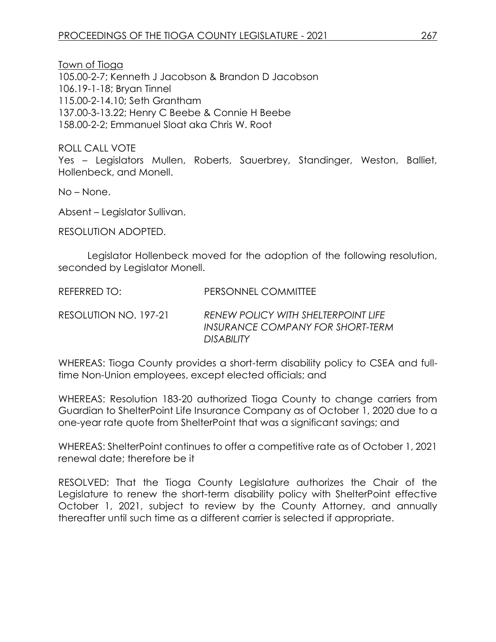Town of Tioga 105.00-2-7; Kenneth J Jacobson & Brandon D Jacobson 106.19-1-18; Bryan Tinnel 115.00-2-14.10; Seth Grantham 137.00-3-13.22; Henry C Beebe & Connie H Beebe 158.00-2-2; Emmanuel Sloat aka Chris W. Root

ROLL CALL VOTE Yes – Legislators Mullen, Roberts, Sauerbrey, Standinger, Weston, Balliet, Hollenbeck, and Monell.

No – None.

Absent – Legislator Sullivan.

RESOLUTION ADOPTED.

Legislator Hollenbeck moved for the adoption of the following resolution, seconded by Legislator Monell.

REFERRED TO: PERSONNEL COMMITTEE

RESOLUTION NO. 197-21 *RENEW POLICY WITH SHELTERPOINT LIFE INSURANCE COMPANY FOR SHORT-TERM DISABILITY* 

WHEREAS: Tioga County provides a short-term disability policy to CSEA and fulltime Non-Union employees, except elected officials; and

WHEREAS: Resolution 183-20 authorized Tioga County to change carriers from Guardian to ShelterPoint Life Insurance Company as of October 1, 2020 due to a one-year rate quote from ShelterPoint that was a significant savings; and

WHEREAS: ShelterPoint continues to offer a competitive rate as of October 1, 2021 renewal date; therefore be it

RESOLVED: That the Tioga County Legislature authorizes the Chair of the Legislature to renew the short-term disability policy with ShelterPoint effective October 1, 2021, subject to review by the County Attorney, and annually thereafter until such time as a different carrier is selected if appropriate.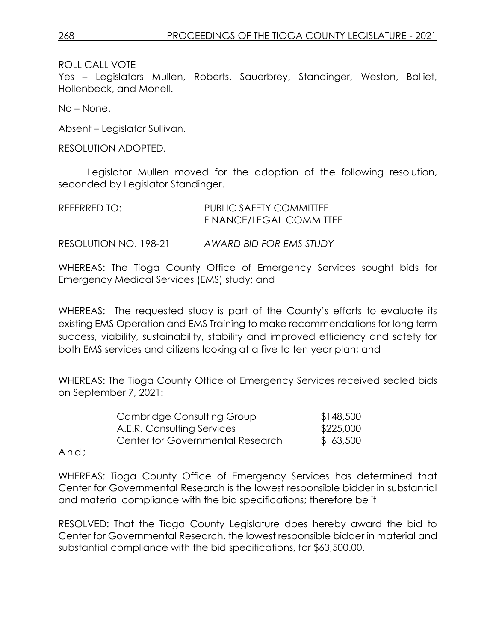ROLL CALL VOTE

Yes – Legislators Mullen, Roberts, Sauerbrey, Standinger, Weston, Balliet, Hollenbeck, and Monell.

No – None.

Absent – Legislator Sullivan.

RESOLUTION ADOPTED.

Legislator Mullen moved for the adoption of the following resolution, seconded by Legislator Standinger.

| REFERRED TO:          | PUBLIC SAFETY COMMITTEE<br>FINANCE/LEGAL COMMITTEE |
|-----------------------|----------------------------------------------------|
| RESOLUTION NO. 198-21 | AWARD BID FOR EMS STUDY                            |

WHEREAS: The Tioga County Office of Emergency Services sought bids for Emergency Medical Services (EMS) study; and

WHEREAS: The requested study is part of the County's efforts to evaluate its existing EMS Operation and EMS Training to make recommendations for long term success, viability, sustainability, stability and improved efficiency and safety for both EMS services and citizens looking at a five to ten year plan; and

WHEREAS: The Tioga County Office of Emergency Services received sealed bids on September 7, 2021:

| Cambridge Consulting Group              | \$148,500 |
|-----------------------------------------|-----------|
| A.E.R. Consulting Services              | \$225,000 |
| <b>Center for Governmental Research</b> | \$63,500  |

And;

WHEREAS: Tioga County Office of Emergency Services has determined that Center for Governmental Research is the lowest responsible bidder in substantial and material compliance with the bid specifications; therefore be it

RESOLVED: That the Tioga County Legislature does hereby award the bid to Center for Governmental Research, the lowest responsible bidder in material and substantial compliance with the bid specifications, for \$63,500.00.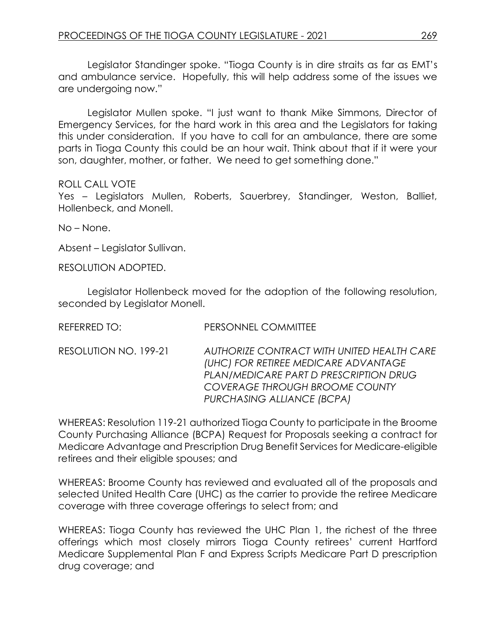Legislator Standinger spoke. "Tioga County is in dire straits as far as EMT's and ambulance service. Hopefully, this will help address some of the issues we are undergoing now."

Legislator Mullen spoke. "I just want to thank Mike Simmons, Director of Emergency Services, for the hard work in this area and the Legislators for taking this under consideration. If you have to call for an ambulance, there are some parts in Tioga County this could be an hour wait. Think about that if it were your son, daughter, mother, or father. We need to get something done."

#### ROLL CALL VOTE

Yes – Legislators Mullen, Roberts, Sauerbrey, Standinger, Weston, Balliet, Hollenbeck, and Monell.

No – None.

Absent – Legislator Sullivan.

RESOLUTION ADOPTED.

Legislator Hollenbeck moved for the adoption of the following resolution, seconded by Legislator Monell.

| REFERRED TO:          | PERSONNEL COMMITTEE                                                                                                                                                                          |
|-----------------------|----------------------------------------------------------------------------------------------------------------------------------------------------------------------------------------------|
| RESOLUTION NO. 199-21 | AUTHORIZE CONTRACT WITH UNITED HEALTH CARE<br>(UHC) FOR RETIREE MEDICARE ADVANTAGE<br>PLAN/MEDICARE PART D PRESCRIPTION DRUG<br>COVERAGE THROUGH BROOME COUNTY<br>PURCHASING ALLIANCE (BCPA) |

WHEREAS: Resolution 119-21 authorized Tioga County to participate in the Broome County Purchasing Alliance (BCPA) Request for Proposals seeking a contract for Medicare Advantage and Prescription Drug Benefit Services for Medicare-eligible retirees and their eligible spouses; and

WHEREAS: Broome County has reviewed and evaluated all of the proposals and selected United Health Care (UHC) as the carrier to provide the retiree Medicare coverage with three coverage offerings to select from; and

WHEREAS: Tioga County has reviewed the UHC Plan 1, the richest of the three offerings which most closely mirrors Tioga County retirees' current Hartford Medicare Supplemental Plan F and Express Scripts Medicare Part D prescription drug coverage; and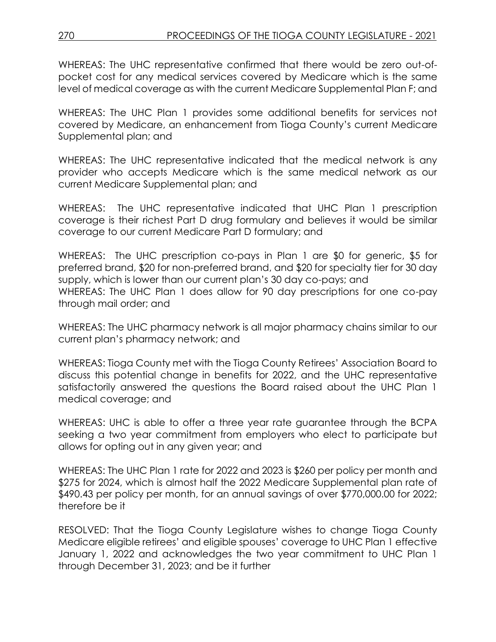WHEREAS: The UHC representative confirmed that there would be zero out-ofpocket cost for any medical services covered by Medicare which is the same level of medical coverage as with the current Medicare Supplemental Plan F; and

WHEREAS: The UHC Plan 1 provides some additional benefits for services not covered by Medicare, an enhancement from Tioga County's current Medicare Supplemental plan; and

WHEREAS: The UHC representative indicated that the medical network is any provider who accepts Medicare which is the same medical network as our current Medicare Supplemental plan; and

WHEREAS: The UHC representative indicated that UHC Plan 1 prescription coverage is their richest Part D drug formulary and believes it would be similar coverage to our current Medicare Part D formulary; and

WHEREAS: The UHC prescription co-pays in Plan 1 are \$0 for generic, \$5 for preferred brand, \$20 for non-preferred brand, and \$20 for specialty tier for 30 day supply, which is lower than our current plan's 30 day co-pays; and WHEREAS: The UHC Plan 1 does allow for 90 day prescriptions for one co-pay through mail order; and

WHEREAS: The UHC pharmacy network is all major pharmacy chains similar to our current plan's pharmacy network; and

WHEREAS: Tioga County met with the Tioga County Retirees' Association Board to discuss this potential change in benefits for 2022, and the UHC representative satisfactorily answered the questions the Board raised about the UHC Plan 1 medical coverage; and

WHEREAS: UHC is able to offer a three year rate guarantee through the BCPA seeking a two year commitment from employers who elect to participate but allows for opting out in any given year; and

WHEREAS: The UHC Plan 1 rate for 2022 and 2023 is \$260 per policy per month and \$275 for 2024, which is almost half the 2022 Medicare Supplemental plan rate of \$490.43 per policy per month, for an annual savings of over \$770,000.00 for 2022; therefore be it

RESOLVED: That the Tioga County Legislature wishes to change Tioga County Medicare eligible retirees' and eligible spouses' coverage to UHC Plan 1 effective January 1, 2022 and acknowledges the two year commitment to UHC Plan 1 through December 31, 2023; and be it further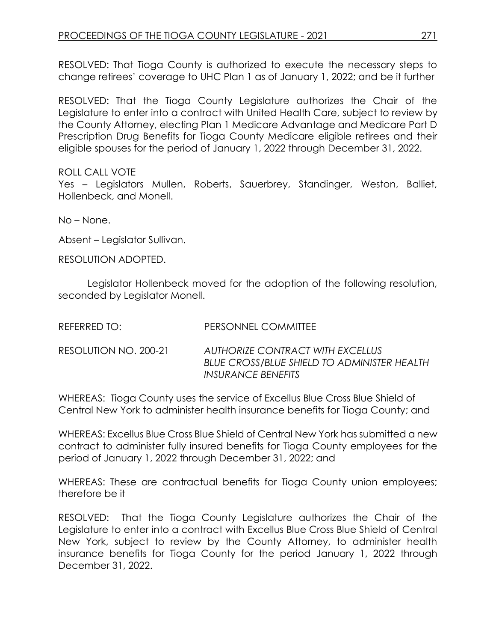RESOLVED: That Tioga County is authorized to execute the necessary steps to change retirees' coverage to UHC Plan 1 as of January 1, 2022; and be it further

RESOLVED: That the Tioga County Legislature authorizes the Chair of the Legislature to enter into a contract with United Health Care, subject to review by the County Attorney, electing Plan 1 Medicare Advantage and Medicare Part D Prescription Drug Benefits for Tioga County Medicare eligible retirees and their eligible spouses for the period of January 1, 2022 through December 31, 2022.

### ROLL CALL VOTE

Yes – Legislators Mullen, Roberts, Sauerbrey, Standinger, Weston, Balliet, Hollenbeck, and Monell.

No – None.

Absent – Legislator Sullivan.

RESOLUTION ADOPTED.

Legislator Hollenbeck moved for the adoption of the following resolution, seconded by Legislator Monell.

| REFERRED TO:          | PERSONNEL COMMITTEE                                                                                                        |
|-----------------------|----------------------------------------------------------------------------------------------------------------------------|
| RESOLUTION NO. 200-21 | AUTHORIZE CONTRACT WITH EXCELLUS<br><b>BLUE CROSS/BLUE SHIELD TO ADMINISTER HEALTH</b><br><i><b>INSURANCE BENEFITS</b></i> |

WHEREAS: Tioga County uses the service of Excellus Blue Cross Blue Shield of Central New York to administer health insurance benefits for Tioga County; and

WHEREAS: Excellus Blue Cross Blue Shield of Central New York has submitted a new contract to administer fully insured benefits for Tioga County employees for the period of January 1, 2022 through December 31, 2022; and

WHEREAS: These are contractual benefits for Tioga County union employees; therefore be it

RESOLVED: That the Tioga County Legislature authorizes the Chair of the Legislature to enter into a contract with Excellus Blue Cross Blue Shield of Central New York, subject to review by the County Attorney, to administer health insurance benefits for Tioga County for the period January 1, 2022 through December 31, 2022.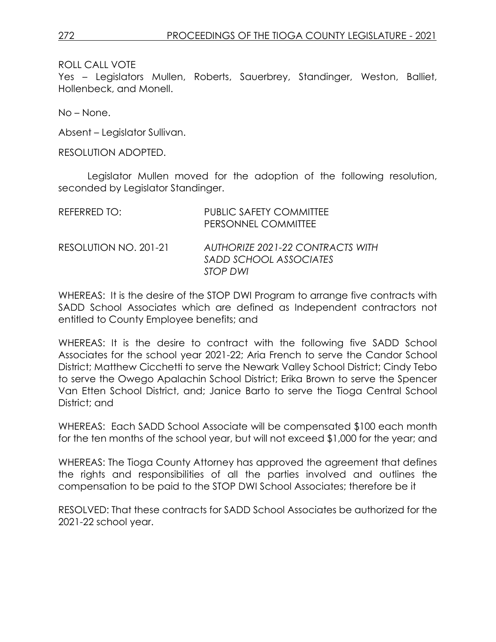ROLL CALL VOTE

Yes – Legislators Mullen, Roberts, Sauerbrey, Standinger, Weston, Balliet, Hollenbeck, and Monell.

No – None.

Absent – Legislator Sullivan.

RESOLUTION ADOPTED.

Legislator Mullen moved for the adoption of the following resolution, seconded by Legislator Standinger.

| REFERRED TO:          | <b>PUBLIC SAFETY COMMITTEE</b><br>PERSONNEL COMMITTEE                         |
|-----------------------|-------------------------------------------------------------------------------|
| RESOLUTION NO. 201-21 | AUTHORIZE 2021-22 CONTRACTS WITH<br>SADD SCHOOL ASSOCIATES<br><b>STOP DWI</b> |

WHEREAS: It is the desire of the STOP DWI Program to arrange five contracts with SADD School Associates which are defined as Independent contractors not entitled to County Employee benefits; and

WHEREAS: It is the desire to contract with the following five SADD School Associates for the school year 2021-22; Aria French to serve the Candor School District; Matthew Cicchetti to serve the Newark Valley School District; Cindy Tebo to serve the Owego Apalachin School District; Erika Brown to serve the Spencer Van Etten School District, and; Janice Barto to serve the Tioga Central School District; and

WHEREAS: Each SADD School Associate will be compensated \$100 each month for the ten months of the school year, but will not exceed \$1,000 for the year; and

WHEREAS: The Tioga County Attorney has approved the agreement that defines the rights and responsibilities of all the parties involved and outlines the compensation to be paid to the STOP DWI School Associates; therefore be it

RESOLVED: That these contracts for SADD School Associates be authorized for the 2021-22 school year.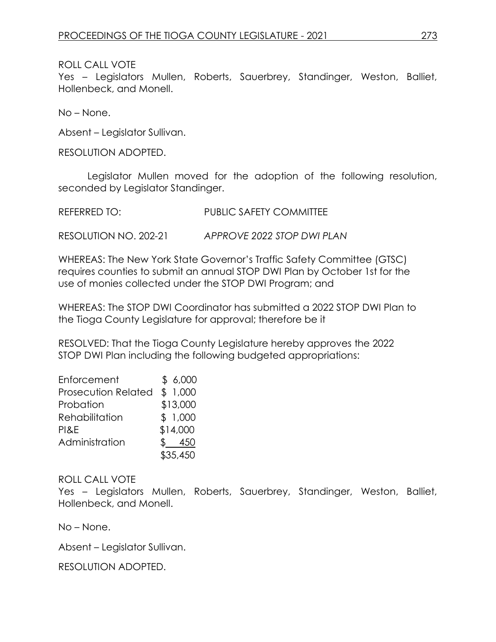### ROLL CALL VOTE

Yes – Legislators Mullen, Roberts, Sauerbrey, Standinger, Weston, Balliet, Hollenbeck, and Monell.

No – None.

Absent – Legislator Sullivan.

RESOLUTION ADOPTED.

Legislator Mullen moved for the adoption of the following resolution, seconded by Legislator Standinger.

| <b>REFERRED TO:</b> | <b>PUBLIC SAFETY COMMITTEE</b> |
|---------------------|--------------------------------|
|                     |                                |

RESOLUTION NO. 202-21 *APPROVE 2022 STOP DWI PLAN*

WHEREAS: The New York State Governor's Traffic Safety Committee (GTSC) requires counties to submit an annual STOP DWI Plan by October 1st for the use of monies collected under the STOP DWI Program; and

WHEREAS: The STOP DWI Coordinator has submitted a 2022 STOP DWI Plan to the Tioga County Legislature for approval; therefore be it

RESOLVED: That the Tioga County Legislature hereby approves the 2022 STOP DWI Plan including the following budgeted appropriations:

| Enforcement                | \$6,000  |
|----------------------------|----------|
| <b>Prosecution Related</b> | \$1,000  |
| Probation                  | \$13,000 |
| Rehabilitation             | \$1,000  |
| PI&E                       | \$14,000 |
| Administration             | 450      |
|                            | \$35,450 |

## ROLL CALL VOTE

Yes – Legislators Mullen, Roberts, Sauerbrey, Standinger, Weston, Balliet, Hollenbeck, and Monell.

No – None.

Absent – Legislator Sullivan.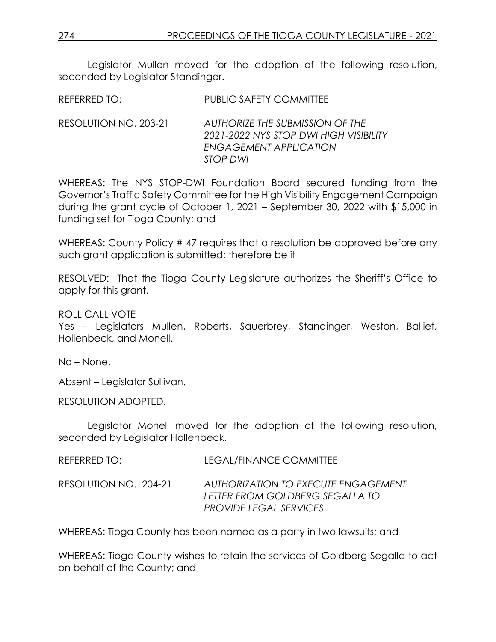Legislator Mullen moved for the adoption of the following resolution, seconded by Legislator Standinger.

REFERRED TO: PUBLIC SAFETY COMMITTEE

RESOLUTION NO. 203-21 *AUTHORIZE THE SUBMISSION OF THE 2021-2022 NYS STOP DWI HIGH VISIBILITY ENGAGEMENT APPLICATION STOP DWI*

WHEREAS: The NYS STOP-DWI Foundation Board secured funding from the Governor's Traffic Safety Committee for the High Visibility Engagement Campaign during the grant cycle of October 1, 2021 – September 30, 2022 with \$15,000 in funding set for Tioga County; and

WHEREAS: County Policy #47 requires that a resolution be approved before any such grant application is submitted; therefore be it

RESOLVED: That the Tioga County Legislature authorizes the Sheriff's Office to apply for this grant.

ROLL CALL VOTE

Yes – Legislators Mullen, Roberts, Sauerbrey, Standinger, Weston, Balliet, Hollenbeck, and Monell.

No – None.

Absent – Legislator Sullivan.

RESOLUTION ADOPTED.

Legislator Monell moved for the adoption of the following resolution, seconded by Legislator Hollenbeck.

| REFERRED TO:          | LEGAL/FINANCE COMMITTEE                                                                                        |
|-----------------------|----------------------------------------------------------------------------------------------------------------|
| RESOLUTION NO. 204-21 | <b>AUTHORIZATION TO EXECUTE ENGAGEMENT</b><br>LETTER FROM GOLDBERG SEGALLA TO<br><b>PROVIDE LEGAL SERVICES</b> |

WHEREAS: Tioga County has been named as a party in two lawsuits; and

WHEREAS: Tioga County wishes to retain the services of Goldberg Segalla to act on behalf of the County; and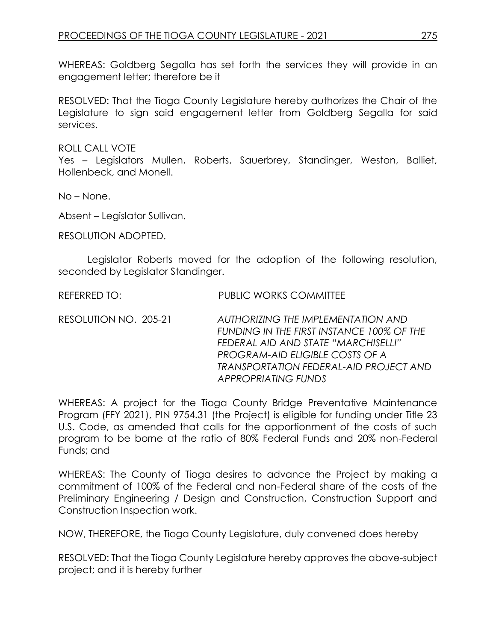WHEREAS: Goldberg Segalla has set forth the services they will provide in an engagement letter; therefore be it

RESOLVED: That the Tioga County Legislature hereby authorizes the Chair of the Legislature to sign said engagement letter from Goldberg Segalla for said services.

ROLL CALL VOTE

Yes – Legislators Mullen, Roberts, Sauerbrey, Standinger, Weston, Balliet, Hollenbeck, and Monell.

No – None.

Absent – Legislator Sullivan.

RESOLUTION ADOPTED.

Legislator Roberts moved for the adoption of the following resolution, seconded by Legislator Standinger.

REFERRED TO: PUBLIC WORKS COMMITTEE

RESOLUTION NO. 205-21 *AUTHORIZING THE IMPLEMENTATION AND FUNDING IN THE FIRST INSTANCE 100% OF THE FEDERAL AID AND STATE "MARCHISELLI" PROGRAM-AID ELIGIBLE COSTS OF A TRANSPORTATION FEDERAL-AID PROJECT AND APPROPRIATING FUNDS*

WHEREAS: A project for the Tioga County Bridge Preventative Maintenance Program (FFY 2021), PIN 9754.31 (the Project) is eligible for funding under Title 23 U.S. Code, as amended that calls for the apportionment of the costs of such program to be borne at the ratio of 80% Federal Funds and 20% non-Federal Funds; and

WHEREAS: The County of Tioga desires to advance the Project by making a commitment of 100% of the Federal and non-Federal share of the costs of the Preliminary Engineering / Design and Construction, Construction Support and Construction Inspection work.

NOW, THEREFORE, the Tioga County Legislature, duly convened does hereby

RESOLVED: That the Tioga County Legislature hereby approves the above-subject project; and it is hereby further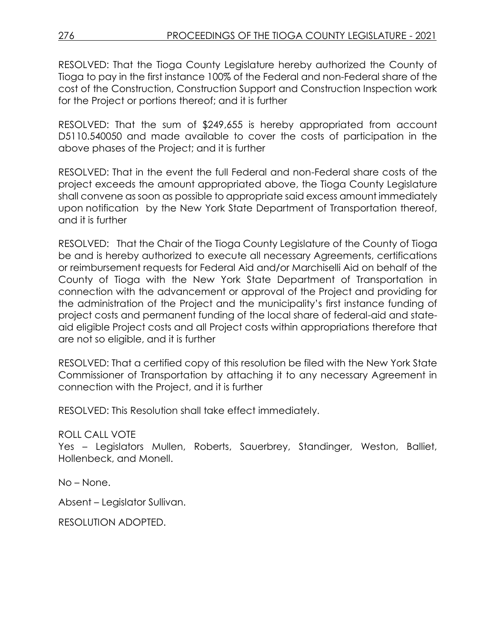RESOLVED: That the Tioga County Legislature hereby authorized the County of Tioga to pay in the first instance 100% of the Federal and non-Federal share of the cost of the Construction, Construction Support and Construction Inspection work for the Project or portions thereof; and it is further

RESOLVED: That the sum of \$249,655 is hereby appropriated from account D5110.540050 and made available to cover the costs of participation in the above phases of the Project; and it is further

RESOLVED: That in the event the full Federal and non-Federal share costs of the project exceeds the amount appropriated above, the Tioga County Legislature shall convene as soon as possible to appropriate said excess amount immediately upon notification by the New York State Department of Transportation thereof, and it is further

RESOLVED: That the Chair of the Tioga County Legislature of the County of Tioga be and is hereby authorized to execute all necessary Agreements, certifications or reimbursement requests for Federal Aid and/or Marchiselli Aid on behalf of the County of Tioga with the New York State Department of Transportation in connection with the advancement or approval of the Project and providing for the administration of the Project and the municipality's first instance funding of project costs and permanent funding of the local share of federal-aid and stateaid eligible Project costs and all Project costs within appropriations therefore that are not so eligible, and it is further

RESOLVED: That a certified copy of this resolution be filed with the New York State Commissioner of Transportation by attaching it to any necessary Agreement in connection with the Project, and it is further

RESOLVED: This Resolution shall take effect immediately.

### ROLL CALL VOTE

Yes – Legislators Mullen, Roberts, Sauerbrey, Standinger, Weston, Balliet, Hollenbeck, and Monell.

No – None.

Absent – Legislator Sullivan.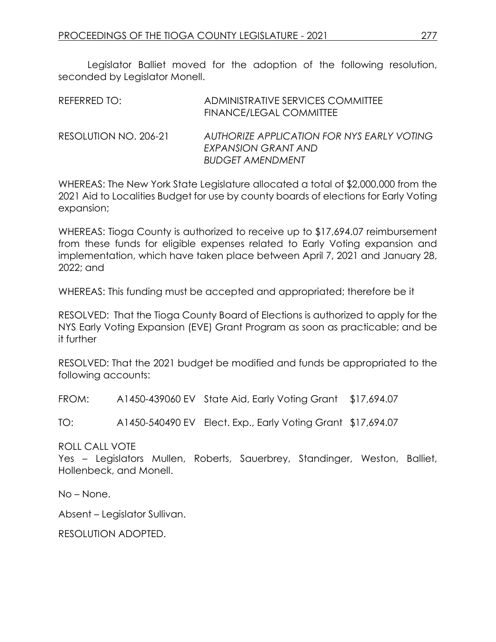Legislator Balliet moved for the adoption of the following resolution, seconded by Legislator Monell.

| REFERRED TO:          | ADMINISTRATIVE SERVICES COMMITTEE<br><b>FINANCE/LEGAL COMMITTEE</b>                          |
|-----------------------|----------------------------------------------------------------------------------------------|
| RESOLUTION NO. 206-21 | AUTHORIZE APPLICATION FOR NYS EARLY VOTING<br>EXPANSION GRANT AND<br><b>BUDGET AMENDMENT</b> |

WHEREAS: The New York State Legislature allocated a total of \$2,000,000 from the 2021 Aid to Localities Budget for use by county boards of elections for Early Voting expansion;

WHEREAS: Tioga County is authorized to receive up to \$17,694.07 reimbursement from these funds for eligible expenses related to Early Voting expansion and implementation, which have taken place between April 7, 2021 and January 28, 2022; and

WHEREAS: This funding must be accepted and appropriated; therefore be it

RESOLVED: That the Tioga County Board of Elections is authorized to apply for the NYS Early Voting Expansion (EVE) Grant Program as soon as practicable; and be it further

RESOLVED: That the 2021 budget be modified and funds be appropriated to the following accounts:

FROM: A1450-439060 EV State Aid, Early Voting Grant \$17,694.07

TO: A1450-540490 EV Elect. Exp., Early Voting Grant \$17,694.07

ROLL CALL VOTE

Yes – Legislators Mullen, Roberts, Sauerbrey, Standinger, Weston, Balliet, Hollenbeck, and Monell.

No – None.

Absent – Legislator Sullivan.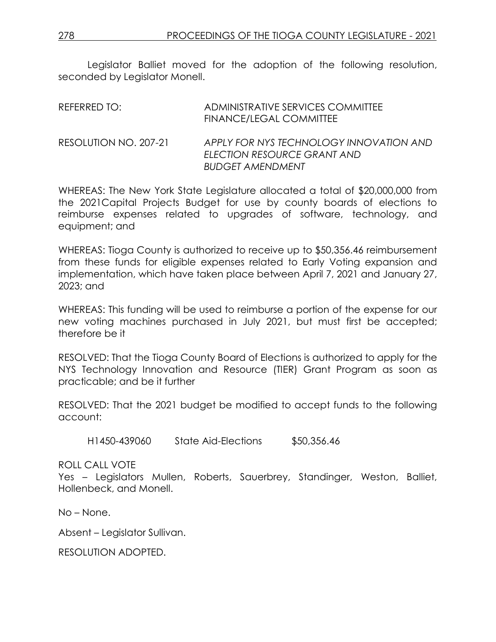Legislator Balliet moved for the adoption of the following resolution, seconded by Legislator Monell.

| REFERRED TO:          | ADMINISTRATIVE SERVICES COMMITTEE<br>FINANCE/LEGAL COMMITTEE                                      |
|-----------------------|---------------------------------------------------------------------------------------------------|
| RESOLUTION NO. 207-21 | APPLY FOR NYS TECHNOLOGY INNOVATION AND<br>ELECTION RESOURCE GRANT AND<br><b>BUDGET AMENDMENT</b> |

WHEREAS: The New York State Legislature allocated a total of \$20,000,000 from the 2021Capital Projects Budget for use by county boards of elections to reimburse expenses related to upgrades of software, technology, and equipment; and

WHEREAS: Tioga County is authorized to receive up to \$50,356.46 reimbursement from these funds for eligible expenses related to Early Voting expansion and implementation, which have taken place between April 7, 2021 and January 27, 2023; and

WHEREAS: This funding will be used to reimburse a portion of the expense for our new voting machines purchased in July 2021, but must first be accepted; therefore be it

RESOLVED: That the Tioga County Board of Elections is authorized to apply for the NYS Technology Innovation and Resource (TIER) Grant Program as soon as practicable; and be it further

RESOLVED: That the 2021 budget be modified to accept funds to the following account:

H1450-439060 State Aid-Elections \$50,356.46

ROLL CALL VOTE

Yes – Legislators Mullen, Roberts, Sauerbrey, Standinger, Weston, Balliet, Hollenbeck, and Monell.

No – None.

Absent – Legislator Sullivan.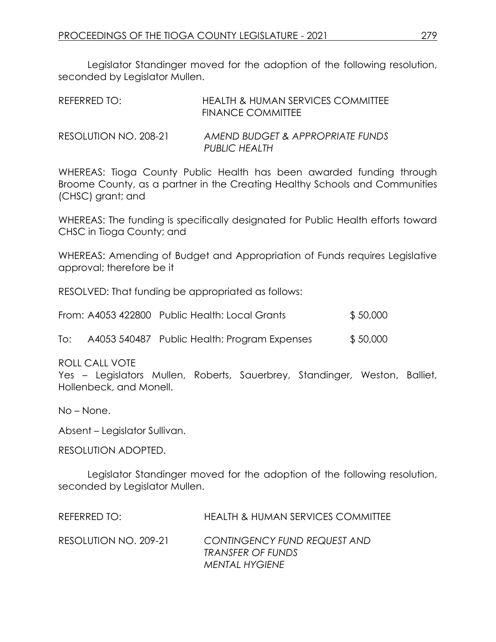Legislator Standinger moved for the adoption of the following resolution, seconded by Legislator Mullen.

| REFERRED TO:          | HEALTH & HUMAN SERVICES COMMITTEE<br><b>FINANCE COMMITTEE</b> |
|-----------------------|---------------------------------------------------------------|
| RESOLUTION NO. 208-21 | AMEND BUDGET & APPROPRIATE FUNDS<br>PUBLIC HEALTH             |

WHEREAS: Tioga County Public Health has been awarded funding through Broome County, as a partner in the Creating Healthy Schools and Communities (CHSC) grant; and

WHEREAS: The funding is specifically designated for Public Health efforts toward CHSC in Tioga County; and

WHEREAS: Amending of Budget and Appropriation of Funds requires Legislative approval; therefore be it

RESOLVED: That funding be appropriated as follows:

|  | From: A4053 422800 Public Health: Local Grants | \$50,000 |
|--|------------------------------------------------|----------|
|--|------------------------------------------------|----------|

| To: |  | A4053 540487 Public Health: Program Expenses | \$50,000 |
|-----|--|----------------------------------------------|----------|
|-----|--|----------------------------------------------|----------|

ROLL CALL VOTE

Yes – Legislators Mullen, Roberts, Sauerbrey, Standinger, Weston, Balliet, Hollenbeck, and Monell.

No – None.

Absent – Legislator Sullivan.

RESOLUTION ADOPTED.

Legislator Standinger moved for the adoption of the following resolution, seconded by Legislator Mullen.

| REFERRED TO:          | <b>HEALTH &amp; HUMAN SERVICES COMMITTEE</b>                               |
|-----------------------|----------------------------------------------------------------------------|
| RESOLUTION NO. 209-21 | CONTINGENCY FUND REQUEST AND<br>TRANSFER OF FUNDS<br><b>MENTAL HYGIENE</b> |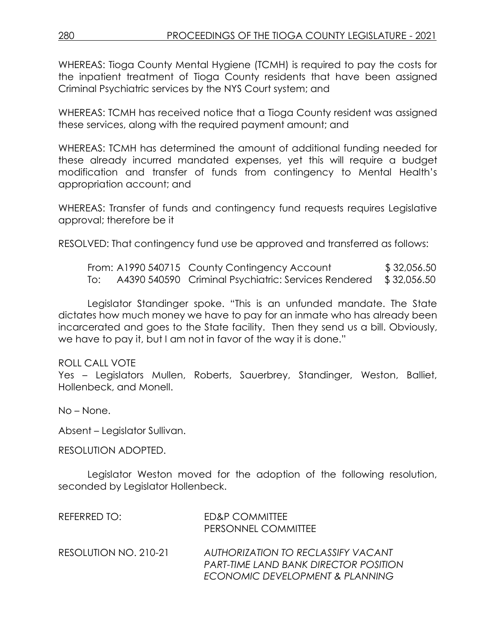WHEREAS: Tioga County Mental Hygiene (TCMH) is required to pay the costs for the inpatient treatment of Tioga County residents that have been assigned Criminal Psychiatric services by the NYS Court system; and

WHEREAS: TCMH has received notice that a Tioga County resident was assigned these services, along with the required payment amount; and

WHEREAS: TCMH has determined the amount of additional funding needed for these already incurred mandated expenses, yet this will require a budget modification and transfer of funds from contingency to Mental Health's appropriation account; and

WHEREAS: Transfer of funds and contingency fund requests requires Legislative approval; therefore be it

RESOLVED: That contingency fund use be approved and transferred as follows:

|     | From: A1990 540715 County Contingency Account                    | \$32,056.50 |
|-----|------------------------------------------------------------------|-------------|
| To: | A4390 540590 Criminal Psychiatric: Services Rendered \$32,056.50 |             |

Legislator Standinger spoke. "This is an unfunded mandate. The State dictates how much money we have to pay for an inmate who has already been incarcerated and goes to the State facility. Then they send us a bill. Obviously, we have to pay it, but I am not in favor of the way it is done."

### ROLL CALL VOTE

Yes – Legislators Mullen, Roberts, Sauerbrey, Standinger, Weston, Balliet, Hollenbeck, and Monell.

No – None.

Absent – Legislator Sullivan.

RESOLUTION ADOPTED.

Legislator Weston moved for the adoption of the following resolution, seconded by Legislator Hollenbeck.

| REFERRED TO:          | <b>ED&amp;P COMMITTEE</b><br>PERSONNEL COMMITTEE                                   |
|-----------------------|------------------------------------------------------------------------------------|
| RESOLUTION NO. 210-21 | AUTHORIZATION TO RECLASSIFY VACANT<br><b>PART-TIME LAND BANK DIRECTOR POSITION</b> |
|                       | ECONOMIC DEVELOPMENT & PLANNING                                                    |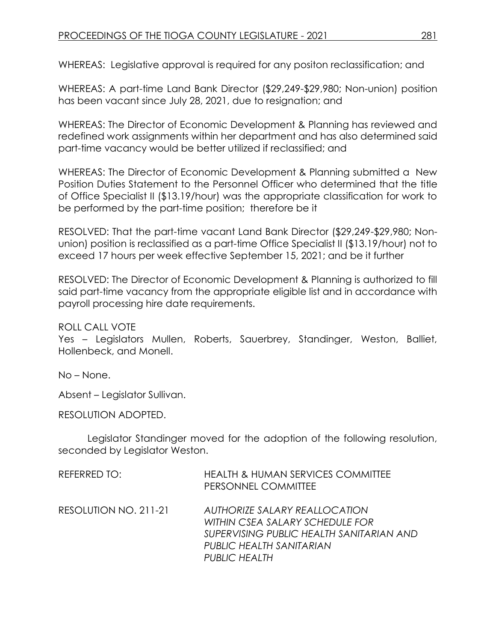WHEREAS: Legislative approval is required for any positon reclassification; and

WHEREAS: A part-time Land Bank Director (\$29,249-\$29,980; Non-union) position has been vacant since July 28, 2021, due to resignation; and

WHEREAS: The Director of Economic Development & Planning has reviewed and redefined work assignments within her department and has also determined said part-time vacancy would be better utilized if reclassified; and

WHEREAS: The Director of Economic Development & Planning submitted a New Position Duties Statement to the Personnel Officer who determined that the title of Office Specialist II (\$13.19/hour) was the appropriate classification for work to be performed by the part-time position; therefore be it

RESOLVED: That the part-time vacant Land Bank Director (\$29,249-\$29,980; Nonunion) position is reclassified as a part-time Office Specialist II (\$13.19/hour) not to exceed 17 hours per week effective September 15, 2021; and be it further

RESOLVED: The Director of Economic Development & Planning is authorized to fill said part-time vacancy from the appropriate eligible list and in accordance with payroll processing hire date requirements.

ROLL CALL VOTE

Yes – Legislators Mullen, Roberts, Sauerbrey, Standinger, Weston, Balliet, Hollenbeck, and Monell.

No – None.

Absent – Legislator Sullivan.

RESOLUTION ADOPTED.

Legislator Standinger moved for the adoption of the following resolution, seconded by Legislator Weston.

| REFERRED TO:          | <b>HEALTH &amp; HUMAN SERVICES COMMITTEE</b><br>PERSONNEL COMMITTEE                                                                                       |
|-----------------------|-----------------------------------------------------------------------------------------------------------------------------------------------------------|
| RESOLUTION NO. 211-21 | AUTHORIZE SALARY REALLOCATION<br>WITHIN CSEA SALARY SCHEDULE FOR<br>SUPERVISING PUBLIC HEALTH SANITARIAN AND<br>PUBLIC HEALTH SANITARIAN<br>PUBLIC HEALTH |